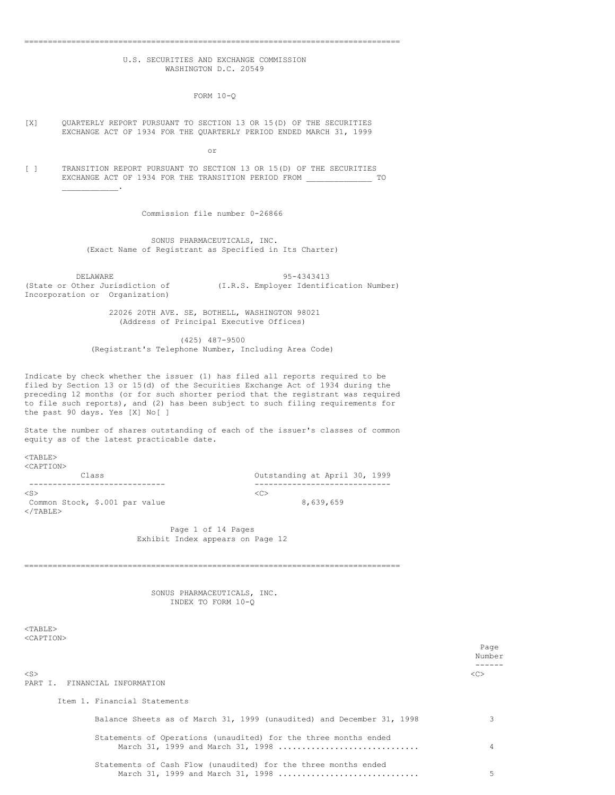## U.S. SECURITIES AND EXCHANGE COMMISSION WASHINGTON D.C. 20549

================================================================================

FORM 10-Q

[X] QUARTERLY REPORT PURSUANT TO SECTION 13 OR 15(D) OF THE SECURITIES EXCHANGE ACT OF 1934 FOR THE QUARTERLY PERIOD ENDED MARCH 31, 1999

or

[ ] TRANSITION REPORT PURSUANT TO SECTION 13 OR 15(D) OF THE SECURITIES EXCHANGE ACT OF 1934 FOR THE TRANSITION PERIOD FROM \_\_\_\_\_\_\_\_\_\_\_\_\_\_\_\_\_\_\_\_\_\_ TO  $\mathcal{L}_\text{max}$  and  $\mathcal{L}_\text{max}$ 

Commission file number 0-26866

SONUS PHARMACEUTICALS, INC. (Exact Name of Registrant as Specified in Its Charter)

DELAWARE 95-4343413<br>(State or Other Jurisdiction of (I.R.S. Employer Identifi Incorporation or Organization)

(I.R.S. Employer Identification Number)

22026 20TH AVE. SE, BOTHELL, WASHINGTON 98021 (Address of Principal Executive Offices)

(425) 487-9500 (Registrant's Telephone Number, Including Area Code)

Indicate by check whether the issuer (1) has filed all reports required to be filed by Section 13 or 15(d) of the Securities Exchange Act of 1934 during the preceding 12 months (or for such shorter period that the registrant was required to file such reports), and (2) has been subject to such filing requirements for the past 90 days. Yes [X] No[ ]

State the number of shares outstanding of each of the issuer's classes of common equity as of the latest practicable date.

 $<$ TABLE $>$ <CAPTION>

Class Outstanding at April 30, 1999  $\langle$ S>  $\langle$ C> Common Stock, \$.001 par value 8,639,659  $<$ /TABLE $>$ 

-------------------------------<br><C>

Page 1 of 14 Pages Exhibit Index appears on Page 12

================================================================================

SONUS PHARMACEUTICALS, INC. INDEX TO FORM 10-Q

 $<$ TABLE> <CAPTION>

|                                                                                                      | Page<br>Number |
|------------------------------------------------------------------------------------------------------|----------------|
|                                                                                                      |                |
| $<$ S $>$<br>PART I. FINANCIAL INFORMATION                                                           | < <sub></sub>  |
| Item 1. Financial Statements                                                                         |                |
| Balance Sheets as of March 31, 1999 (unaudited) and December 31, 1998                                |                |
| Statements of Operations (unaudited) for the three months ended<br>March 31, 1999 and March 31, 1998 | 4              |
| Statements of Cash Flow (unaudited) for the three months ended                                       |                |

March 31, 1999 and March 31, 1998 .............................. 5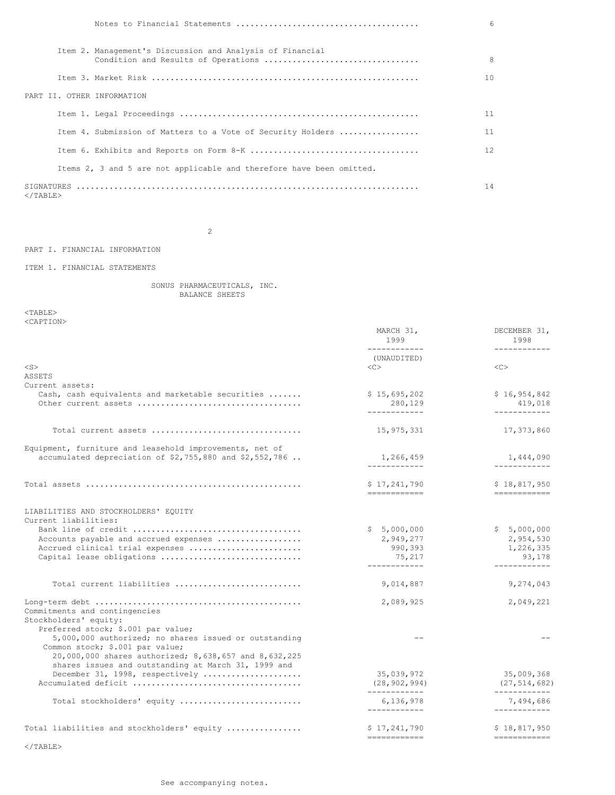|                   |                                                                      | $6^{6}$         |
|-------------------|----------------------------------------------------------------------|-----------------|
|                   | Item 2. Management's Discussion and Analysis of Financial            | 8               |
|                   |                                                                      | 10 <sup>°</sup> |
|                   | PART II. OTHER INFORMATION                                           |                 |
|                   |                                                                      | 11              |
|                   | Item 4. Submission of Matters to a Vote of Security Holders          | 11              |
|                   |                                                                      | 12              |
|                   | Items 2, 3 and 5 are not applicable and therefore have been omitted. |                 |
| $\langle$ /TABLE> |                                                                      | 14              |

2

PART I. FINANCIAL INFORMATION

ITEM 1. FINANCIAL STATEMENTS

SONUS PHARMACEUTICALS, INC. BALANCE SHEETS

 $<$ TABLE $>$ <CAPTION>

|                                                                     | MARCH 31,<br>1999<br>------------ | DECEMBER 31,<br>1998<br>------------ |
|---------------------------------------------------------------------|-----------------------------------|--------------------------------------|
|                                                                     | (UNAUDITED)                       |                                      |
| $<$ S $>$                                                           | <<>                               | < <sub></sub>                        |
| <b>ASSETS</b>                                                       |                                   |                                      |
| Current assets:<br>Cash, cash equivalents and marketable securities | \$15,695,202                      | \$16,954,842                         |
|                                                                     | 280,129                           | 419,018                              |
|                                                                     | ------------                      | ------------                         |
| Total current assets                                                | 15,975,331                        | 17,373,860                           |
| Equipment, furniture and leasehold improvements, net of             |                                   |                                      |
| accumulated depreciation of \$2,755,880 and \$2,552,786             | 1,266,459<br>____________         | 1,444,090<br>------------            |
|                                                                     | \$17,241,790                      | \$18,817,950                         |
|                                                                     | ============                      | ============                         |
| LIABILITIES AND STOCKHOLDERS' EQUITY                                |                                   |                                      |
| Current liabilities:                                                |                                   |                                      |
|                                                                     | \$5,000,000                       | \$5,000,000                          |
| Accounts payable and accrued expenses                               | 2,949,277                         | 2,954,530                            |
| Accrued clinical trial expenses                                     | 990,393                           | 1,226,335                            |
| Capital lease obligations                                           | 75,217<br>------------            | 93,178<br>------------               |
|                                                                     |                                   |                                      |
| Total current liabilities                                           | 9,014,887                         | 9,274,043                            |
| Commitments and contingencies<br>Stockholders' equity:              | 2,089,925                         | 2,049,221                            |
| Preferred stock; \$.001 par value;                                  |                                   |                                      |
| 5,000,000 authorized; no shares issued or outstanding               | $-$                               |                                      |
| Common stock; \$.001 par value;                                     |                                   |                                      |
| 20,000,000 shares authorized; 8,638,657 and 8,632,225               |                                   |                                      |
| shares issues and outstanding at March 31, 1999 and                 |                                   |                                      |
| December 31, 1998, respectively                                     | 35,039,972                        | 35,009,368                           |
|                                                                     | (28, 902, 994)<br>____________    | (27, 514, 682)<br>------------       |
| Total stockholders' equity                                          | 6,136,978<br>------------         | 7,494,686<br>------------            |
| Total liabilities and stockholders' equity                          | \$17,241,790                      | \$18,817,950                         |
|                                                                     | ============                      | -------------                        |
| $\langle$ /TABLE>                                                   |                                   |                                      |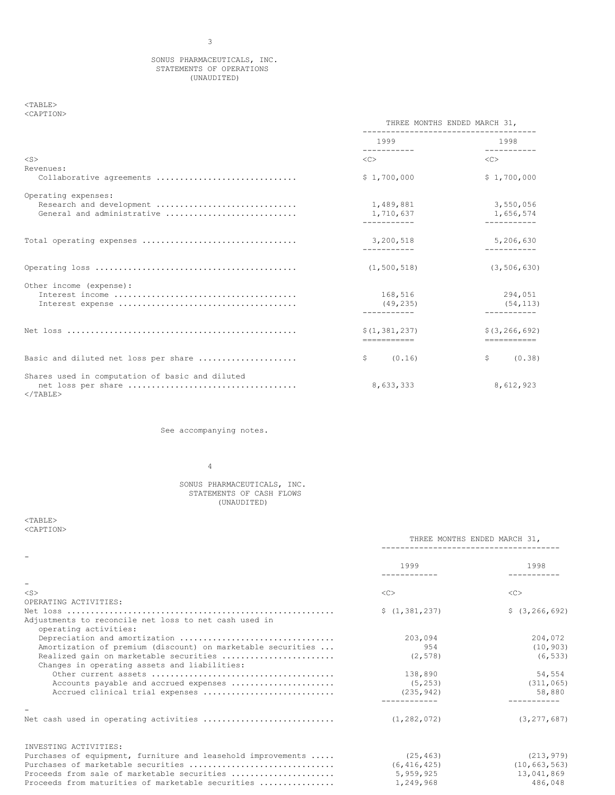# SONUS PHARMACEUTICALS, INC. STATEMENTS OF OPERATIONS (UNAUDITED)

### $<$  TABLE  $>$ <CAPTION>

|                                                 | THREE MONTHS ENDED MARCH 31,                                                                                                                                                                                                    |                                    |
|-------------------------------------------------|---------------------------------------------------------------------------------------------------------------------------------------------------------------------------------------------------------------------------------|------------------------------------|
|                                                 | 1999 — 1999 — 1990 — 1990 — 1990 — 1990 — 1990 — 1990 — 1990 — 1990 — 1990 — 1990 — 1990 — 1990 — 1990 — 1990 — 1990 — 1990 — 1990 — 1990 — 1990 — 1990 — 1990 — 1990 — 1990 — 1990 — 1990 — 1990 — 1990 — 1990 — 1990 — 1990 — | 1998                               |
| $<$ S>                                          | -----------                                                                                                                                                                                                                     | -----------<br>$\langle C \rangle$ |
| Revenues:                                       |                                                                                                                                                                                                                                 |                                    |
| Collaborative agreements                        | \$1,700,000                                                                                                                                                                                                                     | \$1,700,000                        |
| Operating expenses:                             |                                                                                                                                                                                                                                 |                                    |
| Research and development                        | 1,489,881                                                                                                                                                                                                                       | 3,550,056                          |
| General and administrative                      | 1,710,637<br>-----------                                                                                                                                                                                                        | 1,656,574<br>----------            |
|                                                 |                                                                                                                                                                                                                                 |                                    |
|                                                 | 3,200,518                                                                                                                                                                                                                       | 5,206,630                          |
|                                                 |                                                                                                                                                                                                                                 |                                    |
|                                                 | (1, 500, 518)                                                                                                                                                                                                                   | (3, 506, 630)                      |
| Other income (expense):                         |                                                                                                                                                                                                                                 |                                    |
|                                                 | 168,516                                                                                                                                                                                                                         | 294,051                            |
|                                                 | (49, 235)                                                                                                                                                                                                                       | (54, 113)                          |
|                                                 | ------------                                                                                                                                                                                                                    |                                    |
|                                                 | \$(1,381,237)                                                                                                                                                                                                                   | \$(3, 266, 692)                    |
|                                                 | ------------                                                                                                                                                                                                                    | ===========                        |
| Basic and diluted net loss per share            | (0.16)<br>\$                                                                                                                                                                                                                    | \$<br>(0.38)                       |
| Shares used in computation of basic and diluted |                                                                                                                                                                                                                                 |                                    |
| $<$ /TABLE>                                     | 8,633,333                                                                                                                                                                                                                       | 8,612,923                          |

See accompanying notes.

4

## SONUS PHARMACEUTICALS, INC. STATEMENTS OF CASH FLOWS (UNAUDITED)

<TABLE> <CAPTION>

|                                                                                        |                 | THREE MONTHS ENDED MARCH 31,<br>----------------------------- |  |
|----------------------------------------------------------------------------------------|-----------------|---------------------------------------------------------------|--|
|                                                                                        | 1999            | 1998                                                          |  |
|                                                                                        |                 |                                                               |  |
| $<$ S>                                                                                 | $<<$ $C$        | $\langle C \rangle$                                           |  |
| OPERATING ACTIVITIES:                                                                  |                 |                                                               |  |
| Adjustments to reconcile net loss to net cash used in<br>operating activities:         | \$(1, 381, 237) | \$(3, 266, 692)                                               |  |
| Depreciation and amortization                                                          | 203,094         | 204,072                                                       |  |
| Amortization of premium (discount) on marketable securities                            | 954             | (10, 903)                                                     |  |
| Realized gain on marketable securities<br>Changes in operating assets and liabilities: | (2, 578)        | (6, 533)                                                      |  |
|                                                                                        | 138,890         | 54,554                                                        |  |
| Accounts payable and accrued expenses                                                  | (5, 253)        | (311, 065)                                                    |  |
| Accrued clinical trial expenses                                                        | (235, 942)      | 58,880                                                        |  |
|                                                                                        |                 |                                                               |  |
| Net cash used in operating activities                                                  | (1, 282, 072)   | (3, 277, 687)                                                 |  |
| INVESTING ACTIVITIES:                                                                  |                 |                                                               |  |
| Purchases of equipment, furniture and leasehold improvements                           | (25, 463)       | (213, 979)                                                    |  |
| Purchases of marketable securities                                                     | (6, 416, 425)   | (10, 663, 563)                                                |  |
| Proceeds from sale of marketable securities                                            | 5,959,925       | 13,041,869                                                    |  |

Proceeds from maturities of marketable securities ................ 1,249,968 486,048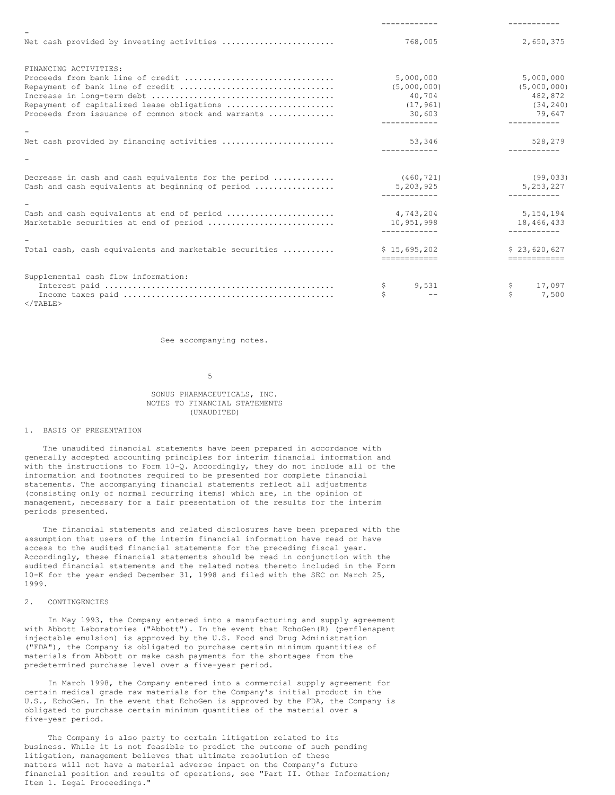| Net cash provided by investing activities              | 768,005                | 2,650,375             |
|--------------------------------------------------------|------------------------|-----------------------|
| FINANCING ACTIVITIES:                                  |                        |                       |
| Proceeds from bank line of credit                      | 5,000,000              | 5,000,000             |
| Repayment of bank line of credit                       | (5,000,000)            | (5,000,000)           |
|                                                        | 40,704                 | 482,872               |
| Repayment of capitalized lease obligations             | (17, 961)              | (34, 240)             |
| Proceeds from issuance of common stock and warrants    | 30,603<br>------------ | 79,647<br>----------- |
|                                                        |                        |                       |
| Net cash provided by financing activities              | 53,346                 | 528,279               |
|                                                        |                        |                       |
| Decrease in cash and cash equivalents for the period   | (460, 721)             | (99, 033)             |
| Cash and cash equivalents at beginning of period       | 5,203,925              | 5, 253, 227           |
|                                                        |                        |                       |
| Cash and cash equivalents at end of period             | 4,743,204              | 5, 154, 194           |
| Marketable securities at end of period                 | 10,951,998             | 18,466,433            |
|                                                        |                        |                       |
| Total cash, cash equivalents and marketable securities | \$15,695,202           | \$23,620,627          |
|                                                        | -------------          | ============          |
| Supplemental cash flow information:                    |                        |                       |
|                                                        | \$<br>9.531            | \$<br>17,097          |
|                                                        | Ś                      | Ś<br>7,500            |

 $\langle$ /TABLE>

See accompanying notes.

5

### SONUS PHARMACEUTICALS, INC. NOTES TO FINANCIAL STATEMENTS (UNAUDITED)

# 1. BASIS OF PRESENTATION

The unaudited financial statements have been prepared in accordance with generally accepted accounting principles for interim financial information and with the instructions to Form 10-Q. Accordingly, they do not include all of the information and footnotes required to be presented for complete financial statements. The accompanying financial statements reflect all adjustments (consisting only of normal recurring items) which are, in the opinion of management, necessary for a fair presentation of the results for the interim periods presented.

The financial statements and related disclosures have been prepared with the assumption that users of the interim financial information have read or have access to the audited financial statements for the preceding fiscal year. Accordingly, these financial statements should be read in conjunction with the audited financial statements and the related notes thereto included in the Form 10-K for the year ended December 31, 1998 and filed with the SEC on March 25, 1999.

## 2. CONTINGENCIES

In May 1993, the Company entered into a manufacturing and supply agreement with Abbott Laboratories ("Abbott"). In the event that EchoGen(R) (perflenapent injectable emulsion) is approved by the U.S. Food and Drug Administration ("FDA"), the Company is obligated to purchase certain minimum quantities of materials from Abbott or make cash payments for the shortages from the predetermined purchase level over a five-year period.

In March 1998, the Company entered into a commercial supply agreement for certain medical grade raw materials for the Company's initial product in the U.S., EchoGen. In the event that EchoGen is approved by the FDA, the Company is obligated to purchase certain minimum quantities of the material over a five-year period.

The Company is also party to certain litigation related to its business. While it is not feasible to predict the outcome of such pending litigation, management believes that ultimate resolution of these matters will not have a material adverse impact on the Company's future financial position and results of operations, see "Part II. Other Information; Item 1. Legal Proceedings."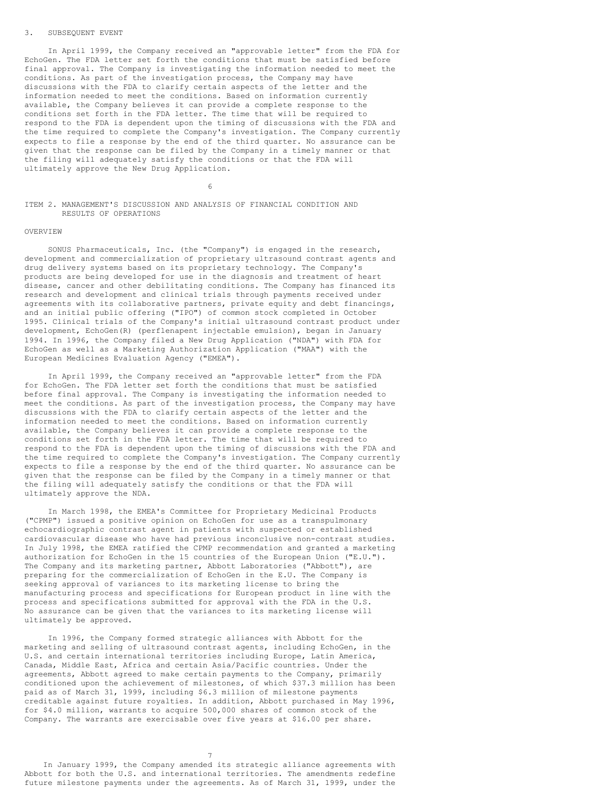### 3. SUBSEQUENT EVENT

In April 1999, the Company received an "approvable letter" from the FDA for EchoGen. The FDA letter set forth the conditions that must be satisfied before final approval. The Company is investigating the information needed to meet the conditions. As part of the investigation process, the Company may have discussions with the FDA to clarify certain aspects of the letter and the information needed to meet the conditions. Based on information currently available, the Company believes it can provide a complete response to the conditions set forth in the FDA letter. The time that will be required to respond to the FDA is dependent upon the timing of discussions with the FDA and the time required to complete the Company's investigation. The Company currently expects to file a response by the end of the third quarter. No assurance can be given that the response can be filed by the Company in a timely manner or that the filing will adequately satisfy the conditions or that the FDA will ultimately approve the New Drug Application.

6

ITEM 2. MANAGEMENT'S DISCUSSION AND ANALYSIS OF FINANCIAL CONDITION AND RESULTS OF OPERATIONS

### OVERVIEW

SONUS Pharmaceuticals, Inc. (the "Company") is engaged in the research, development and commercialization of proprietary ultrasound contrast agents and drug delivery systems based on its proprietary technology. The Company's products are being developed for use in the diagnosis and treatment of heart disease, cancer and other debilitating conditions. The Company has financed its research and development and clinical trials through payments received under agreements with its collaborative partners, private equity and debt financings, and an initial public offering ("IPO") of common stock completed in October 1995. Clinical trials of the Company's initial ultrasound contrast product under development, EchoGen(R) (perflenapent injectable emulsion), began in January 1994. In 1996, the Company filed a New Drug Application ("NDA") with FDA for EchoGen as well as a Marketing Authorization Application ("MAA") with the European Medicines Evaluation Agency ("EMEA").

In April 1999, the Company received an "approvable letter" from the FDA for EchoGen. The FDA letter set forth the conditions that must be satisfied before final approval. The Company is investigating the information needed to meet the conditions. As part of the investigation process, the Company may have discussions with the FDA to clarify certain aspects of the letter and the information needed to meet the conditions. Based on information currently available, the Company believes it can provide a complete response to the conditions set forth in the FDA letter. The time that will be required to respond to the FDA is dependent upon the timing of discussions with the FDA and the time required to complete the Company's investigation. The Company currently expects to file a response by the end of the third quarter. No assurance can be given that the response can be filed by the Company in a timely manner or that the filing will adequately satisfy the conditions or that the FDA will ultimately approve the NDA.

In March 1998, the EMEA's Committee for Proprietary Medicinal Products ("CPMP") issued a positive opinion on EchoGen for use as a transpulmonary echocardiographic contrast agent in patients with suspected or established cardiovascular disease who have had previous inconclusive non-contrast studies. In July 1998, the EMEA ratified the CPMP recommendation and granted a marketing authorization for EchoGen in the 15 countries of the European Union ("E.U."). The Company and its marketing partner, Abbott Laboratories ("Abbott"), are preparing for the commercialization of EchoGen in the E.U. The Company is seeking approval of variances to its marketing license to bring the manufacturing process and specifications for European product in line with the process and specifications submitted for approval with the FDA in the U.S. No assurance can be given that the variances to its marketing license will ultimately be approved.

In 1996, the Company formed strategic alliances with Abbott for the marketing and selling of ultrasound contrast agents, including EchoGen, in the U.S. and certain international territories including Europe, Latin America, Canada, Middle East, Africa and certain Asia/Pacific countries. Under the agreements, Abbott agreed to make certain payments to the Company, primarily conditioned upon the achievement of milestones, of which \$37.3 million has been paid as of March 31, 1999, including \$6.3 million of milestone payments creditable against future royalties. In addition, Abbott purchased in May 1996, for \$4.0 million, warrants to acquire 500,000 shares of common stock of the Company. The warrants are exercisable over five years at \$16.00 per share.

7

In January 1999, the Company amended its strategic alliance agreements with Abbott for both the U.S. and international territories. The amendments redefine future milestone payments under the agreements. As of March 31, 1999, under the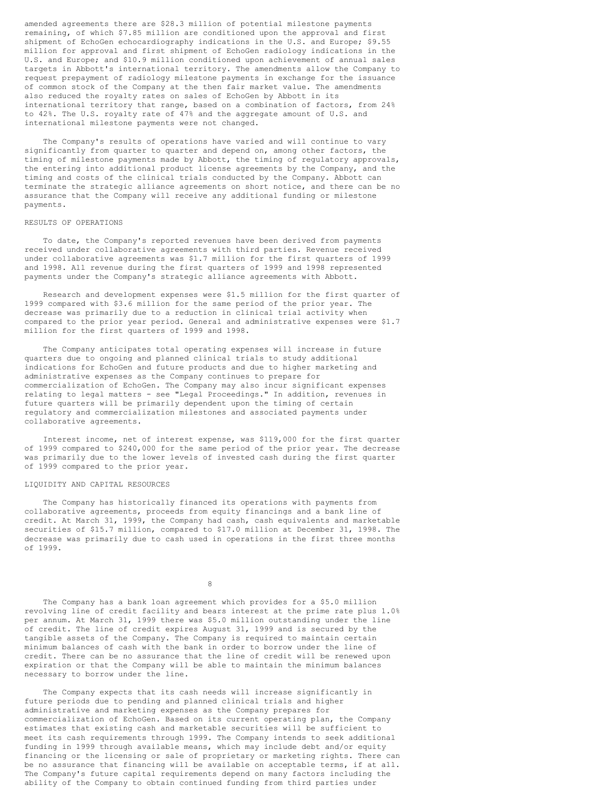amended agreements there are \$28.3 million of potential milestone payments remaining, of which \$7.85 million are conditioned upon the approval and first shipment of EchoGen echocardiography indications in the U.S. and Europe; \$9.55 million for approval and first shipment of EchoGen radiology indications in the U.S. and Europe; and \$10.9 million conditioned upon achievement of annual sales targets in Abbott's international territory. The amendments allow the Company to request prepayment of radiology milestone payments in exchange for the issuance of common stock of the Company at the then fair market value. The amendments also reduced the royalty rates on sales of EchoGen by Abbott in its international territory that range, based on a combination of factors, from 24% to 42%. The U.S. royalty rate of 47% and the aggregate amount of U.S. and international milestone payments were not changed.

The Company's results of operations have varied and will continue to vary significantly from quarter to quarter and depend on, among other factors, the timing of milestone payments made by Abbott, the timing of regulatory approvals, the entering into additional product license agreements by the Company, and the timing and costs of the clinical trials conducted by the Company. Abbott can terminate the strategic alliance agreements on short notice, and there can be no assurance that the Company will receive any additional funding or milestone payments.

## RESULTS OF OPERATIONS

To date, the Company's reported revenues have been derived from payments received under collaborative agreements with third parties. Revenue received under collaborative agreements was \$1.7 million for the first quarters of 1999 and 1998. All revenue during the first quarters of 1999 and 1998 represented payments under the Company's strategic alliance agreements with Abbott.

Research and development expenses were \$1.5 million for the first quarter of 1999 compared with \$3.6 million for the same period of the prior year. The decrease was primarily due to a reduction in clinical trial activity when compared to the prior year period. General and administrative expenses were \$1.7 million for the first quarters of 1999 and 1998.

The Company anticipates total operating expenses will increase in future quarters due to ongoing and planned clinical trials to study additional indications for EchoGen and future products and due to higher marketing and administrative expenses as the Company continues to prepare for commercialization of EchoGen. The Company may also incur significant expenses relating to legal matters - see "Legal Proceedings." In addition, revenues in future quarters will be primarily dependent upon the timing of certain regulatory and commercialization milestones and associated payments under collaborative agreements.

Interest income, net of interest expense, was \$119,000 for the first quarter of 1999 compared to \$240,000 for the same period of the prior year. The decrease was primarily due to the lower levels of invested cash during the first quarter of 1999 compared to the prior year.

### LIQUIDITY AND CAPITAL RESOURCES

The Company has historically financed its operations with payments from collaborative agreements, proceeds from equity financings and a bank line of credit. At March 31, 1999, the Company had cash, cash equivalents and marketable securities of \$15.7 million, compared to \$17.0 million at December 31, 1998. The decrease was primarily due to cash used in operations in the first three months of 1999.

8

The Company has a bank loan agreement which provides for a \$5.0 million revolving line of credit facility and bears interest at the prime rate plus 1.0% per annum. At March 31, 1999 there was \$5.0 million outstanding under the line of credit. The line of credit expires August 31, 1999 and is secured by the tangible assets of the Company. The Company is required to maintain certain minimum balances of cash with the bank in order to borrow under the line of credit. There can be no assurance that the line of credit will be renewed upon expiration or that the Company will be able to maintain the minimum balances necessary to borrow under the line.

The Company expects that its cash needs will increase significantly in future periods due to pending and planned clinical trials and higher administrative and marketing expenses as the Company prepares for commercialization of EchoGen. Based on its current operating plan, the Company estimates that existing cash and marketable securities will be sufficient to meet its cash requirements through 1999. The Company intends to seek additional funding in 1999 through available means, which may include debt and/or equity financing or the licensing or sale of proprietary or marketing rights. There can be no assurance that financing will be available on acceptable terms, if at all. The Company's future capital requirements depend on many factors including the ability of the Company to obtain continued funding from third parties under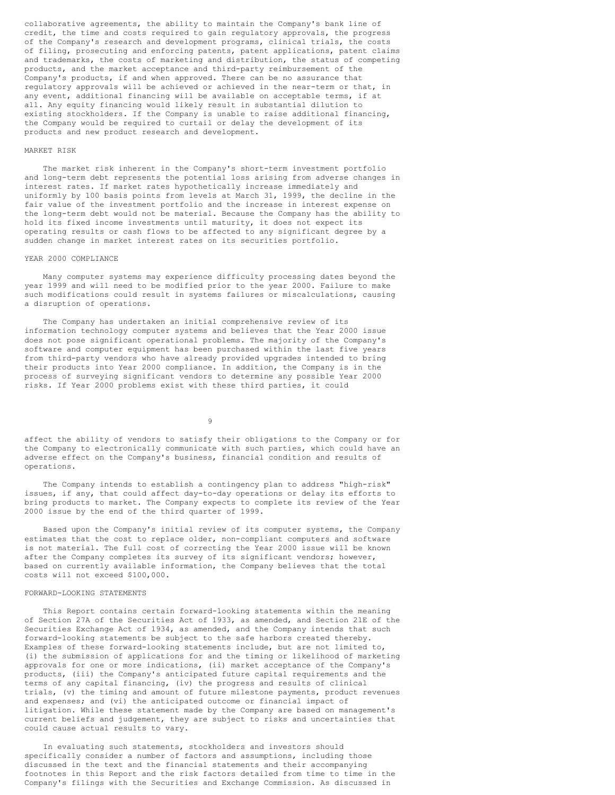collaborative agreements, the ability to maintain the Company's bank line of credit, the time and costs required to gain regulatory approvals, the progress of the Company's research and development programs, clinical trials, the costs of filing, prosecuting and enforcing patents, patent applications, patent claims and trademarks, the costs of marketing and distribution, the status of competing products, and the market acceptance and third-party reimbursement of the Company's products, if and when approved. There can be no assurance that regulatory approvals will be achieved or achieved in the near-term or that, in any event, additional financing will be available on acceptable terms, if at all. Any equity financing would likely result in substantial dilution to existing stockholders. If the Company is unable to raise additional financing, the Company would be required to curtail or delay the development of its products and new product research and development.

### MARKET RISK

The market risk inherent in the Company's short-term investment portfolio and long-term debt represents the potential loss arising from adverse changes in interest rates. If market rates hypothetically increase immediately and uniformly by 100 basis points from levels at March 31, 1999, the decline in the fair value of the investment portfolio and the increase in interest expense on the long-term debt would not be material. Because the Company has the ability to hold its fixed income investments until maturity, it does not expect its operating results or cash flows to be affected to any significant degree by a sudden change in market interest rates on its securities portfolio.

### YEAR 2000 COMPLIANCE

Many computer systems may experience difficulty processing dates beyond the year 1999 and will need to be modified prior to the year 2000. Failure to make such modifications could result in systems failures or miscalculations, causing a disruption of operations.

The Company has undertaken an initial comprehensive review of its information technology computer systems and believes that the Year 2000 issue does not pose significant operational problems. The majority of the Company's software and computer equipment has been purchased within the last five years from third-party vendors who have already provided upgrades intended to bring their products into Year 2000 compliance. In addition, the Company is in the process of surveying significant vendors to determine any possible Year 2000 risks. If Year 2000 problems exist with these third parties, it could

9

affect the ability of vendors to satisfy their obligations to the Company or for the Company to electronically communicate with such parties, which could have an adverse effect on the Company's business, financial condition and results of operations.

The Company intends to establish a contingency plan to address "high-risk" issues, if any, that could affect day-to-day operations or delay its efforts to bring products to market. The Company expects to complete its review of the Year 2000 issue by the end of the third quarter of 1999.

Based upon the Company's initial review of its computer systems, the Company estimates that the cost to replace older, non-compliant computers and software is not material. The full cost of correcting the Year 2000 issue will be known after the Company completes its survey of its significant vendors; however, based on currently available information, the Company believes that the total costs will not exceed \$100,000.

#### FORWARD-LOOKING STATEMENTS

This Report contains certain forward-looking statements within the meaning of Section 27A of the Securities Act of 1933, as amended, and Section 21E of the Securities Exchange Act of 1934, as amended, and the Company intends that such forward-looking statements be subject to the safe harbors created thereby. Examples of these forward-looking statements include, but are not limited to, (i) the submission of applications for and the timing or likelihood of marketing approvals for one or more indications, (ii) market acceptance of the Company's products, (iii) the Company's anticipated future capital requirements and the terms of any capital financing, (iv) the progress and results of clinical trials, (v) the timing and amount of future milestone payments, product revenues and expenses; and (vi) the anticipated outcome or financial impact of litigation. While these statement made by the Company are based on management's current beliefs and judgement, they are subject to risks and uncertainties that could cause actual results to vary.

In evaluating such statements, stockholders and investors should specifically consider a number of factors and assumptions, including those discussed in the text and the financial statements and their accompanying footnotes in this Report and the risk factors detailed from time to time in the Company's filings with the Securities and Exchange Commission. As discussed in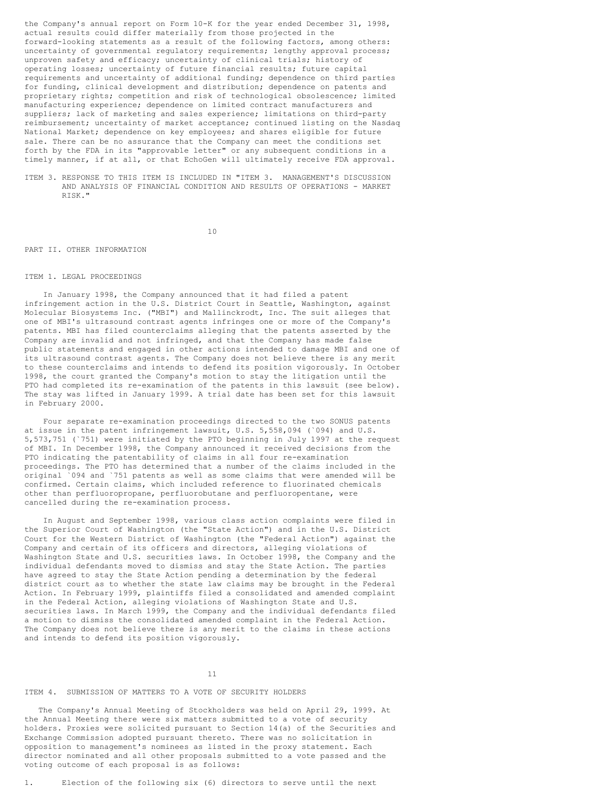the Company's annual report on Form 10-K for the year ended December 31, 1998, actual results could differ materially from those projected in the forward-looking statements as a result of the following factors, among others: uncertainty of governmental regulatory requirements; lengthy approval process; unproven safety and efficacy; uncertainty of clinical trials; history of operating losses; uncertainty of future financial results; future capital requirements and uncertainty of additional funding; dependence on third parties for funding, clinical development and distribution; dependence on patents and proprietary rights; competition and risk of technological obsolescence; limited manufacturing experience; dependence on limited contract manufacturers and suppliers; lack of marketing and sales experience; limitations on third-party reimbursement; uncertainty of market acceptance; continued listing on the Nasdaq National Market; dependence on key employees; and shares eligible for future sale. There can be no assurance that the Company can meet the conditions set forth by the FDA in its "approvable letter" or any subsequent conditions in a timely manner, if at all, or that EchoGen will ultimately receive FDA approval.

ITEM 3. RESPONSE TO THIS ITEM IS INCLUDED IN "ITEM 3. MANAGEMENT'S DISCUSSION AND ANALYSIS OF FINANCIAL CONDITION AND RESULTS OF OPERATIONS - MARKET RISK."

10

### PART II. OTHER INFORMATION

#### ITEM 1. LEGAL PROCEEDINGS

In January 1998, the Company announced that it had filed a patent infringement action in the U.S. District Court in Seattle, Washington, against Molecular Biosystems Inc. ("MBI") and Mallinckrodt, Inc. The suit alleges that one of MBI's ultrasound contrast agents infringes one or more of the Company's patents. MBI has filed counterclaims alleging that the patents asserted by the Company are invalid and not infringed, and that the Company has made false public statements and engaged in other actions intended to damage MBI and one of its ultrasound contrast agents. The Company does not believe there is any merit to these counterclaims and intends to defend its position vigorously. In October 1998, the court granted the Company's motion to stay the litigation until the PTO had completed its re-examination of the patents in this lawsuit (see below). The stay was lifted in January 1999. A trial date has been set for this lawsuit in February 2000.

Four separate re-examination proceedings directed to the two SONUS patents at issue in the patent infringement lawsuit, U.S. 5,558,094 (`094) and U.S. 5,573,751 (`751) were initiated by the PTO beginning in July 1997 at the request of MBI. In December 1998, the Company announced it received decisions from the PTO indicating the patentability of claims in all four re-examination proceedings. The PTO has determined that a number of the claims included in the original `094 and `751 patents as well as some claims that were amended will be confirmed. Certain claims, which included reference to fluorinated chemicals other than perfluoropropane, perfluorobutane and perfluoropentane, were cancelled during the re-examination process.

In August and September 1998, various class action complaints were filed in the Superior Court of Washington (the "State Action") and in the U.S. District Court for the Western District of Washington (the "Federal Action") against the Company and certain of its officers and directors, alleging violations of Washington State and U.S. securities laws. In October 1998, the Company and the individual defendants moved to dismiss and stay the State Action. The parties have agreed to stay the State Action pending a determination by the federal district court as to whether the state law claims may be brought in the Federal Action. In February 1999, plaintiffs filed a consolidated and amended complaint in the Federal Action, alleging violations of Washington State and U.S. securities laws. In March 1999, the Company and the individual defendants filed a motion to dismiss the consolidated amended complaint in the Federal Action. The Company does not believe there is any merit to the claims in these actions and intends to defend its position vigorously.

### 11

# ITEM 4. SUBMISSION OF MATTERS TO A VOTE OF SECURITY HOLDERS

The Company's Annual Meeting of Stockholders was held on April 29, 1999. At the Annual Meeting there were six matters submitted to a vote of security holders. Proxies were solicited pursuant to Section 14(a) of the Securities and Exchange Commission adopted pursuant thereto. There was no solicitation in opposition to management's nominees as listed in the proxy statement. Each director nominated and all other proposals submitted to a vote passed and the voting outcome of each proposal is as follows: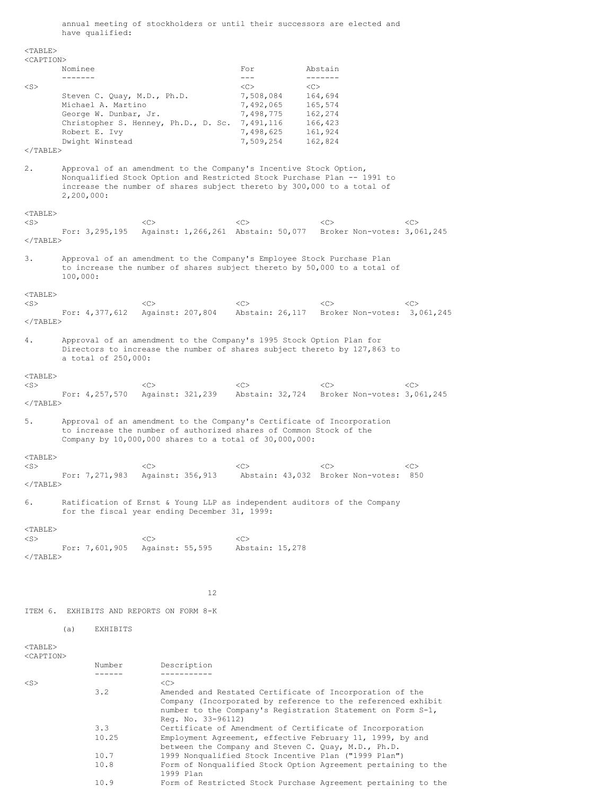annual meeting of stockholders or until their successors are elected and have qualified:

<TABLE> <CAPTION> Nominee For Abstain ------- --- ------- <S> <C> <C> Steven C. Quay, M.D., Ph.D. 7,508,084 164,694 Michael A. Martino 7,492,065 165,574<br>George W. Dunbar, Jr. 7,498,775 162,274 George W. Dunbar, Jr. 7,498,775 162,274<br>Christopher S. Henney, Ph.D., D. Sc. 7,491,116 166,423 Christopher S. Henney, Ph.D., D. Sc. 7,491,116 166,423<br>Robert E. Ivy 7,498,625 161,924 Robert E. Ivy 7,498,625<br>Dwight Winstead 7,509.254 Dwight Winstead 7,509,254 162,824  $<$ /TABLE> 2. Approval of an amendment to the Company's Incentive Stock Option, Nonqualified Stock Option and Restricted Stock Purchase Plan -- 1991 to increase the number of shares subject thereto by 300,000 to a total of 2,200,000:  $<$ TABLE> <S> <C> <C> <C> <C> For: 3,295,195 Against: 1,266,261 Abstain: 50,077 Broker Non-votes: 3,061,245  $<$ /TABLE> 3. Approval of an amendment to the Company's Employee Stock Purchase Plan to increase the number of shares subject thereto by 50,000 to a total of 100,000: <TABLE> <S> <C> <C> <C> <C> For: 4,377,612 Against: 207,804 Abstain: 26,117 Broker Non-votes: 3,061,245  $<$ /TABLE> 4. Approval of an amendment to the Company's 1995 Stock Option Plan for Directors to increase the number of shares subject thereto by 127,863 to a total of 250,000: <TABLE> <S> <C> <C> <C> <C> For: 4,257,570 Against: 321,239 Abstain: 32,724 Broker Non-votes: 3,061,245  $<$ /TABLE $>$ 5. Approval of an amendment to the Company's Certificate of Incorporation to increase the number of authorized shares of Common Stock of the Company by 10,000,000 shares to a total of 30,000,000:  $<$ TABLE> <S> <C> <C> <C> <C> For: 7,271,983 Against: 356,913 Abstain: 43,032 Broker Non-votes: 850  $<$ /TABLE> 6. Ratification of Ernst & Young LLP as independent auditors of the Company for the fiscal year ending December 31, 1999: <TABLE>  $\langle$ C> $\langle$ C> $\langle$ C> $\langle$ C> For: 7,601,905 Against: 55,595 Abstain: 15,278  $<$ /TABLE> 12 ITEM 6. EXHIBITS AND REPORTS ON FORM 8-K (a) EXHIBITS <TABLE> <CAPTION> Number Description ------ -----------  $\langle$ S>  $\langle$ C> 3.2 Amended and Restated Certificate of Incorporation of the Company (Incorporated by reference to the referenced exhibit number to the Company's Registration Statement on Form S-1, Reg. No. 33-96112) 3.3 Certificate of Amendment of Certificate of Incorporation 10.25 Employment Agreement, effective February 11, 1999, by and between the Company and Steven C. Quay, M.D., Ph.D.

10.7 1999 Nonqualified Stock Incentive Plan ("1999 Plan")

1999 Plan

10.8 Form of Nonqualified Stock Option Agreement pertaining to the

10.9 Form of Restricted Stock Purchase Agreement pertaining to the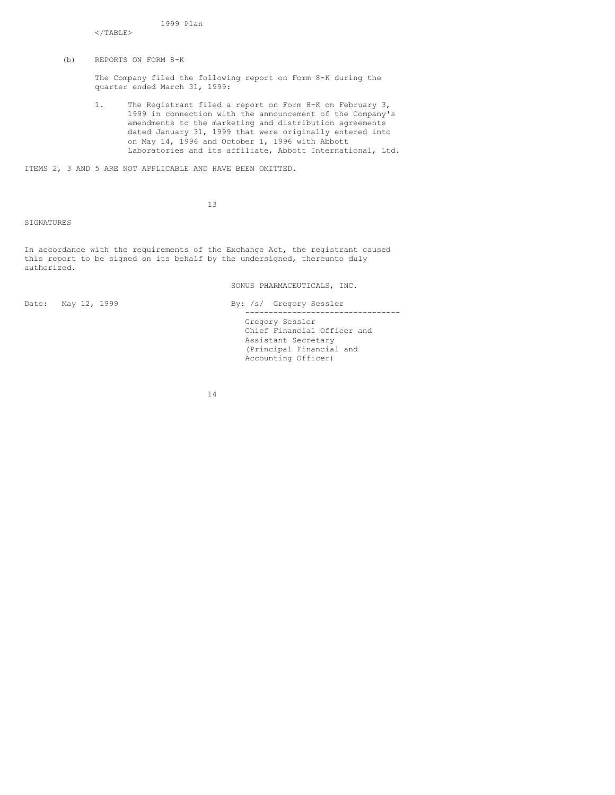1999 Plan

</TABLE>

(b) REPORTS ON FORM 8-K

The Company filed the following report on Form 8-K during the quarter ended March 31, 1999:

1. The Registrant filed a report on Form 8-K on February 3, 1999 in connection with the announcement of the Company's amendments to the marketing and distribution agreements dated January 31, 1999 that were originally entered into on May 14, 1996 and October 1, 1996 with Abbott Laboratories and its affiliate, Abbott International, Ltd.

ITEMS 2, 3 AND 5 ARE NOT APPLICABLE AND HAVE BEEN OMITTED.

13

SIGNATURES

In accordance with the requirements of the Exchange Act, the registrant caused this report to be signed on its behalf by the undersigned, thereunto duly authorized.

SONUS PHARMACEUTICALS, INC.

Date: May 12, 1999 By: /s/ Gregory Sessler --------------------------------- Gregory Sessler Chief Financial Officer and Assistant Secretary (Principal Financial and Accounting Officer)

14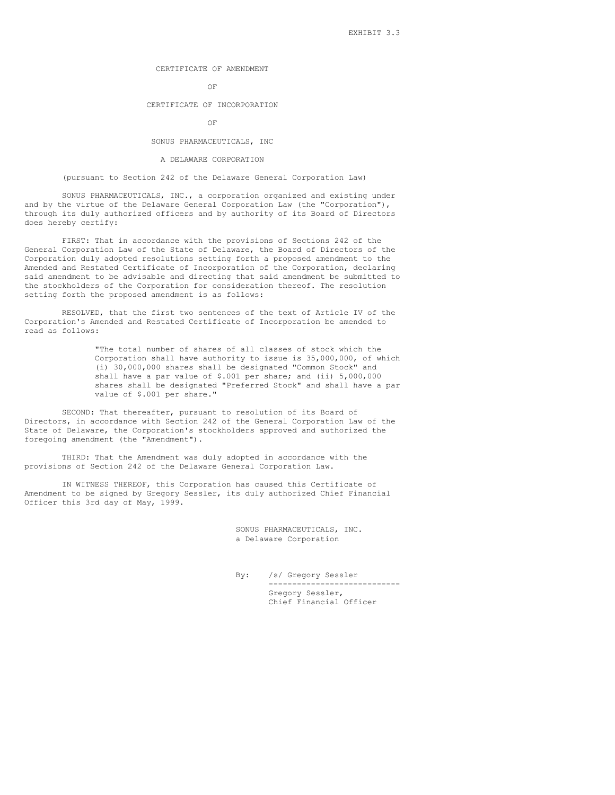# CERTIFICATE OF AMENDMENT

## OF

### CERTIFICATE OF INCORPORATION

#### OF

## SONUS PHARMACEUTICALS, INC

### A DELAWARE CORPORATION

## (pursuant to Section 242 of the Delaware General Corporation Law)

SONUS PHARMACEUTICALS, INC., a corporation organized and existing under and by the virtue of the Delaware General Corporation Law (the "Corporation"), through its duly authorized officers and by authority of its Board of Directors does hereby certify:

FIRST: That in accordance with the provisions of Sections 242 of the General Corporation Law of the State of Delaware, the Board of Directors of the Corporation duly adopted resolutions setting forth a proposed amendment to the Amended and Restated Certificate of Incorporation of the Corporation, declaring said amendment to be advisable and directing that said amendment be submitted to the stockholders of the Corporation for consideration thereof. The resolution setting forth the proposed amendment is as follows:

RESOLVED, that the first two sentences of the text of Article IV of the Corporation's Amended and Restated Certificate of Incorporation be amended to read as follows:

> "The total number of shares of all classes of stock which the Corporation shall have authority to issue is 35,000,000, of which (i) 30,000,000 shares shall be designated "Common Stock" and shall have a par value of \$.001 per share; and (ii) 5,000,000 shares shall be designated "Preferred Stock" and shall have a par value of \$.001 per share."

SECOND: That thereafter, pursuant to resolution of its Board of Directors, in accordance with Section 242 of the General Corporation Law of the State of Delaware, the Corporation's stockholders approved and authorized the foregoing amendment (the "Amendment").

THIRD: That the Amendment was duly adopted in accordance with the provisions of Section 242 of the Delaware General Corporation Law.

IN WITNESS THEREOF, this Corporation has caused this Certificate of Amendment to be signed by Gregory Sessler, its duly authorized Chief Financial Officer this 3rd day of May, 1999.

> SONUS PHARMACEUTICALS, INC. a Delaware Corporation

By: /s/ Gregory Sessler ---------------------------- Gregory Sessler, Chief Financial Officer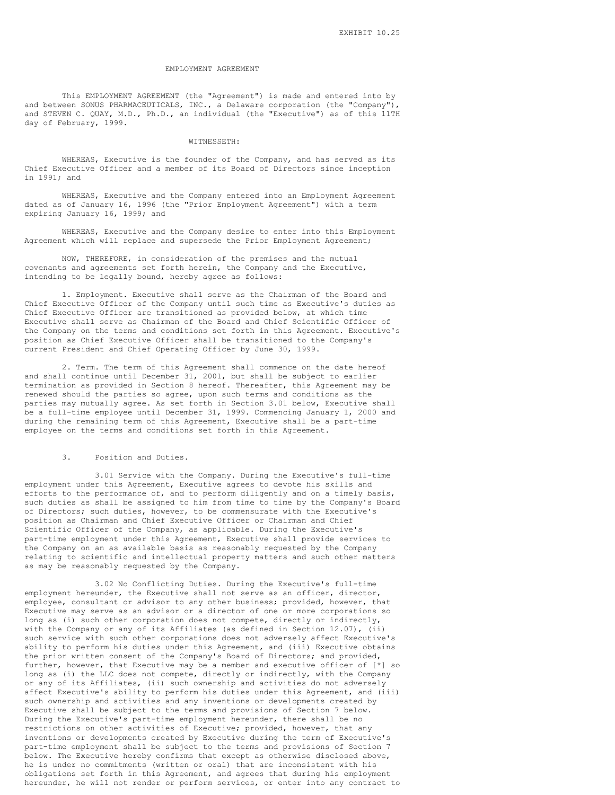#### EMPLOYMENT AGREEMENT

This EMPLOYMENT AGREEMENT (the "Agreement") is made and entered into by and between SONUS PHARMACEUTICALS, INC., a Delaware corporation (the "Company"), and STEVEN C. QUAY, M.D., Ph.D., an individual (the "Executive") as of this 11TH day of February, 1999.

### WITNESSETH:

WHEREAS, Executive is the founder of the Company, and has served as its Chief Executive Officer and a member of its Board of Directors since inception in 1991; and

WHEREAS, Executive and the Company entered into an Employment Agreement dated as of January 16, 1996 (the "Prior Employment Agreement") with a term expiring January 16, 1999; and

WHEREAS, Executive and the Company desire to enter into this Employment Agreement which will replace and supersede the Prior Employment Agreement;

NOW, THEREFORE, in consideration of the premises and the mutual covenants and agreements set forth herein, the Company and the Executive, intending to be legally bound, hereby agree as follows:

1. Employment. Executive shall serve as the Chairman of the Board and Chief Executive Officer of the Company until such time as Executive's duties as Chief Executive Officer are transitioned as provided below, at which time Executive shall serve as Chairman of the Board and Chief Scientific Officer of the Company on the terms and conditions set forth in this Agreement. Executive's position as Chief Executive Officer shall be transitioned to the Company's current President and Chief Operating Officer by June 30, 1999.

2. Term. The term of this Agreement shall commence on the date hereof and shall continue until December 31, 2001, but shall be subject to earlier termination as provided in Section 8 hereof. Thereafter, this Agreement may be renewed should the parties so agree, upon such terms and conditions as the parties may mutually agree. As set forth in Section 3.01 below, Executive shall be a full-time employee until December 31, 1999. Commencing January 1, 2000 and during the remaining term of this Agreement, Executive shall be a part-time employee on the terms and conditions set forth in this Agreement.

### 3. Position and Duties.

3.01 Service with the Company. During the Executive's full-time employment under this Agreement, Executive agrees to devote his skills and efforts to the performance of, and to perform diligently and on a timely basis, such duties as shall be assigned to him from time to time by the Company's Board of Directors; such duties, however, to be commensurate with the Executive's position as Chairman and Chief Executive Officer or Chairman and Chief Scientific Officer of the Company, as applicable. During the Executive's part-time employment under this Agreement, Executive shall provide services to the Company on an as available basis as reasonably requested by the Company relating to scientific and intellectual property matters and such other matters as may be reasonably requested by the Company.

3.02 No Conflicting Duties. During the Executive's full-time employment hereunder, the Executive shall not serve as an officer, director, employee, consultant or advisor to any other business; provided, however, that Executive may serve as an advisor or a director of one or more corporations so long as (i) such other corporation does not compete, directly or indirectly, with the Company or any of its Affiliates (as defined in Section 12.07), (ii) such service with such other corporations does not adversely affect Executive's ability to perform his duties under this Agreement, and (iii) Executive obtains the prior written consent of the Company's Board of Directors; and provided, further, however, that Executive may be a member and executive officer of  $[*]$  so long as (i) the LLC does not compete, directly or indirectly, with the Company or any of its Affiliates, (ii) such ownership and activities do not adversely affect Executive's ability to perform his duties under this Agreement, and (iii) such ownership and activities and any inventions or developments created by Executive shall be subject to the terms and provisions of Section 7 below. During the Executive's part-time employment hereunder, there shall be no restrictions on other activities of Executive; provided, however, that any inventions or developments created by Executive during the term of Executive's part-time employment shall be subject to the terms and provisions of Section 7 below. The Executive hereby confirms that except as otherwise disclosed above, he is under no commitments (written or oral) that are inconsistent with his obligations set forth in this Agreement, and agrees that during his employment hereunder, he will not render or perform services, or enter into any contract to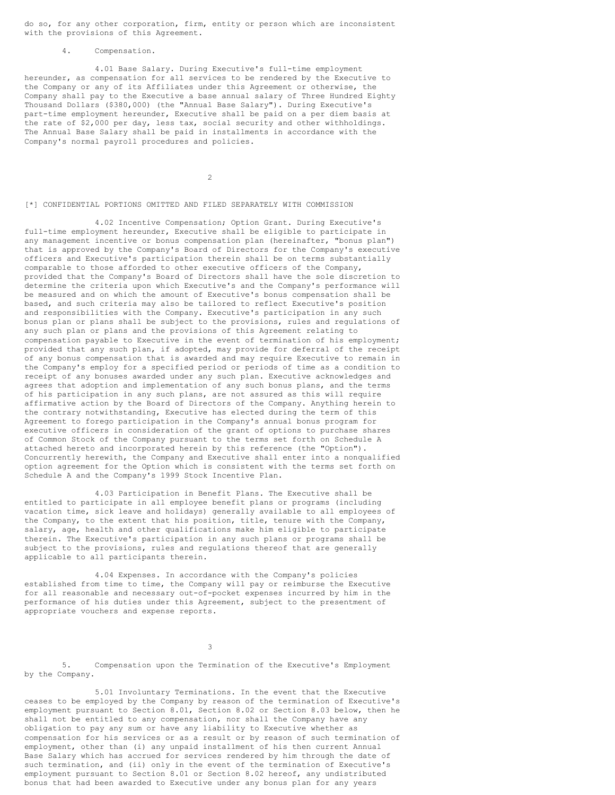do so, for any other corporation, firm, entity or person which are inconsistent with the provisions of this Agreement.

4. Compensation.

4.01 Base Salary. During Executive's full-time employment hereunder, as compensation for all services to be rendered by the Executive to the Company or any of its Affiliates under this Agreement or otherwise, the Company shall pay to the Executive a base annual salary of Three Hundred Eighty Thousand Dollars (\$380,000) (the "Annual Base Salary"). During Executive's part-time employment hereunder, Executive shall be paid on a per diem basis at the rate of \$2,000 per day, less tax, social security and other withholdings. The Annual Base Salary shall be paid in installments in accordance with the Company's normal payroll procedures and policies.

 $\overline{2}$ 

# [\*] CONFIDENTIAL PORTIONS OMITTED AND FILED SEPARATELY WITH COMMISSION

4.02 Incentive Compensation; Option Grant. During Executive's full-time employment hereunder, Executive shall be eligible to participate in any management incentive or bonus compensation plan (hereinafter, "bonus plan") that is approved by the Company's Board of Directors for the Company's executive officers and Executive's participation therein shall be on terms substantially comparable to those afforded to other executive officers of the Company, provided that the Company's Board of Directors shall have the sole discretion to determine the criteria upon which Executive's and the Company's performance will be measured and on which the amount of Executive's bonus compensation shall be based, and such criteria may also be tailored to reflect Executive's position and responsibilities with the Company. Executive's participation in any such bonus plan or plans shall be subject to the provisions, rules and regulations of any such plan or plans and the provisions of this Agreement relating to compensation payable to Executive in the event of termination of his employment; provided that any such plan, if adopted, may provide for deferral of the receipt of any bonus compensation that is awarded and may require Executive to remain in the Company's employ for a specified period or periods of time as a condition to receipt of any bonuses awarded under any such plan. Executive acknowledges and agrees that adoption and implementation of any such bonus plans, and the terms of his participation in any such plans, are not assured as this will require affirmative action by the Board of Directors of the Company. Anything herein to the contrary notwithstanding, Executive has elected during the term of this Agreement to forego participation in the Company's annual bonus program for executive officers in consideration of the grant of options to purchase shares of Common Stock of the Company pursuant to the terms set forth on Schedule A attached hereto and incorporated herein by this reference (the "Option"). Concurrently herewith, the Company and Executive shall enter into a nonqualified option agreement for the Option which is consistent with the terms set forth on Schedule A and the Company's 1999 Stock Incentive Plan.

4.03 Participation in Benefit Plans. The Executive shall be entitled to participate in all employee benefit plans or programs (including vacation time, sick leave and holidays) generally available to all employees of the Company, to the extent that his position, title, tenure with the Company, salary, age, health and other qualifications make him eligible to participate therein. The Executive's participation in any such plans or programs shall be subject to the provisions, rules and regulations thereof that are generally applicable to all participants therein.

4.04 Expenses. In accordance with the Company's policies established from time to time, the Company will pay or reimburse the Executive for all reasonable and necessary out-of-pocket expenses incurred by him in the performance of his duties under this Agreement, subject to the presentment of appropriate vouchers and expense reports.

3

5. Compensation upon the Termination of the Executive's Employment by the Company.

5.01 Involuntary Terminations. In the event that the Executive ceases to be employed by the Company by reason of the termination of Executive's employment pursuant to Section 8.01, Section 8.02 or Section 8.03 below, then he shall not be entitled to any compensation, nor shall the Company have any obligation to pay any sum or have any liability to Executive whether as compensation for his services or as a result or by reason of such termination of employment, other than (i) any unpaid installment of his then current Annual Base Salary which has accrued for services rendered by him through the date of such termination, and (ii) only in the event of the termination of Executive's employment pursuant to Section 8.01 or Section 8.02 hereof, any undistributed bonus that had been awarded to Executive under any bonus plan for any years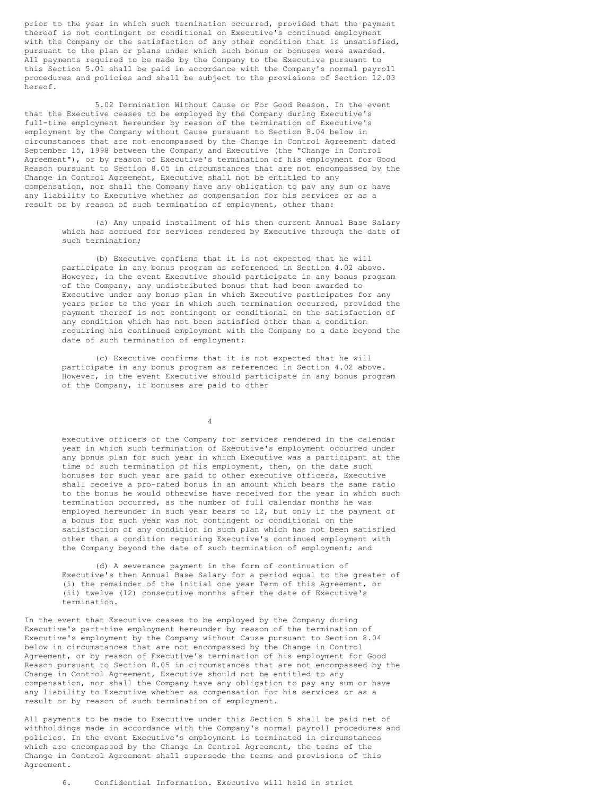prior to the year in which such termination occurred, provided that the payment thereof is not contingent or conditional on Executive's continued employment with the Company or the satisfaction of any other condition that is unsatisfied, pursuant to the plan or plans under which such bonus or bonuses were awarded. All payments required to be made by the Company to the Executive pursuant to this Section 5.01 shall be paid in accordance with the Company's normal payroll procedures and policies and shall be subject to the provisions of Section 12.03 hereof.

5.02 Termination Without Cause or For Good Reason. In the event that the Executive ceases to be employed by the Company during Executive's full-time employment hereunder by reason of the termination of Executive's employment by the Company without Cause pursuant to Section 8.04 below in circumstances that are not encompassed by the Change in Control Agreement dated September 15, 1998 between the Company and Executive (the "Change in Control Agreement"), or by reason of Executive's termination of his employment for Good Reason pursuant to Section 8.05 in circumstances that are not encompassed by the Change in Control Agreement, Executive shall not be entitled to any compensation, nor shall the Company have any obligation to pay any sum or have any liability to Executive whether as compensation for his services or as a result or by reason of such termination of employment, other than:

(a) Any unpaid installment of his then current Annual Base Salary which has accrued for services rendered by Executive through the date of such termination;

(b) Executive confirms that it is not expected that he will participate in any bonus program as referenced in Section 4.02 above. However, in the event Executive should participate in any bonus program of the Company, any undistributed bonus that had been awarded to Executive under any bonus plan in which Executive participates for any years prior to the year in which such termination occurred, provided the payment thereof is not contingent or conditional on the satisfaction of any condition which has not been satisfied other than a condition requiring his continued employment with the Company to a date beyond the date of such termination of employment;

(c) Executive confirms that it is not expected that he will participate in any bonus program as referenced in Section 4.02 above. However, in the event Executive should participate in any bonus program of the Company, if bonuses are paid to other

4

executive officers of the Company for services rendered in the calendar year in which such termination of Executive's employment occurred under any bonus plan for such year in which Executive was a participant at the time of such termination of his employment, then, on the date such bonuses for such year are paid to other executive officers, Executive shall receive a pro-rated bonus in an amount which bears the same ratio to the bonus he would otherwise have received for the year in which such termination occurred, as the number of full calendar months he was employed hereunder in such year bears to 12, but only if the payment of a bonus for such year was not contingent or conditional on the satisfaction of any condition in such plan which has not been satisfied other than a condition requiring Executive's continued employment with the Company beyond the date of such termination of employment; and

(d) A severance payment in the form of continuation of Executive's then Annual Base Salary for a period equal to the greater of (i) the remainder of the initial one year Term of this Agreement, or (ii) twelve (12) consecutive months after the date of Executive's termination.

In the event that Executive ceases to be employed by the Company during Executive's part-time employment hereunder by reason of the termination of Executive's employment by the Company without Cause pursuant to Section 8.04 below in circumstances that are not encompassed by the Change in Control Agreement, or by reason of Executive's termination of his employment for Good Reason pursuant to Section 8.05 in circumstances that are not encompassed by the Change in Control Agreement, Executive should not be entitled to any compensation, nor shall the Company have any obligation to pay any sum or have any liability to Executive whether as compensation for his services or as a result or by reason of such termination of employment.

All payments to be made to Executive under this Section 5 shall be paid net of withholdings made in accordance with the Company's normal payroll procedures and policies. In the event Executive's employment is terminated in circumstances which are encompassed by the Change in Control Agreement, the terms of the Change in Control Agreement shall supersede the terms and provisions of this Agreement.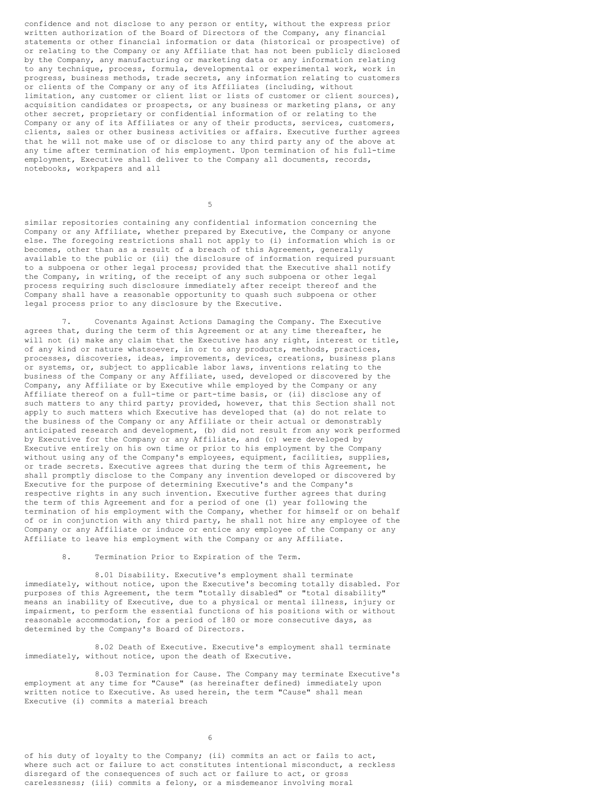confidence and not disclose to any person or entity, without the express prior written authorization of the Board of Directors of the Company, any financial statements or other financial information or data (historical or prospective) of or relating to the Company or any Affiliate that has not been publicly disclosed by the Company, any manufacturing or marketing data or any information relating to any technique, process, formula, developmental or experimental work, work in progress, business methods, trade secrets, any information relating to customers or clients of the Company or any of its Affiliates (including, without limitation, any customer or client list or lists of customer or client sources), acquisition candidates or prospects, or any business or marketing plans, or any other secret, proprietary or confidential information of or relating to the Company or any of its Affiliates or any of their products, services, customers, clients, sales or other business activities or affairs. Executive further agrees that he will not make use of or disclose to any third party any of the above at any time after termination of his employment. Upon termination of his full-time employment, Executive shall deliver to the Company all documents, records, notebooks, workpapers and all

5

similar repositories containing any confidential information concerning the Company or any Affiliate, whether prepared by Executive, the Company or anyone else. The foregoing restrictions shall not apply to (i) information which is or becomes, other than as a result of a breach of this Agreement, generally available to the public or (ii) the disclosure of information required pursuant to a subpoena or other legal process; provided that the Executive shall notify the Company, in writing, of the receipt of any such subpoena or other legal process requiring such disclosure immediately after receipt thereof and the Company shall have a reasonable opportunity to quash such subpoena or other legal process prior to any disclosure by the Executive.

7. Covenants Against Actions Damaging the Company. The Executive agrees that, during the term of this Agreement or at any time thereafter, he will not (i) make any claim that the Executive has any right, interest or title, of any kind or nature whatsoever, in or to any products, methods, practices, processes, discoveries, ideas, improvements, devices, creations, business plans or systems, or, subject to applicable labor laws, inventions relating to the business of the Company or any Affiliate, used, developed or discovered by the Company, any Affiliate or by Executive while employed by the Company or any Affiliate thereof on a full-time or part-time basis, or (ii) disclose any of such matters to any third party; provided, however, that this Section shall not apply to such matters which Executive has developed that (a) do not relate to the business of the Company or any Affiliate or their actual or demonstrably anticipated research and development, (b) did not result from any work performed by Executive for the Company or any Affiliate, and (c) were developed by Executive entirely on his own time or prior to his employment by the Company without using any of the Company's employees, equipment, facilities, supplies, or trade secrets. Executive agrees that during the term of this Agreement, he shall promptly disclose to the Company any invention developed or discovered by Executive for the purpose of determining Executive's and the Company's respective rights in any such invention. Executive further agrees that during the term of this Agreement and for a period of one (1) year following the termination of his employment with the Company, whether for himself or on behalf of or in conjunction with any third party, he shall not hire any employee of the Company or any Affiliate or induce or entice any employee of the Company or any Affiliate to leave his employment with the Company or any Affiliate.

# 8. Termination Prior to Expiration of the Term.

8.01 Disability. Executive's employment shall terminate immediately, without notice, upon the Executive's becoming totally disabled. For purposes of this Agreement, the term "totally disabled" or "total disability" means an inability of Executive, due to a physical or mental illness, injury or impairment, to perform the essential functions of his positions with or without reasonable accommodation, for a period of 180 or more consecutive days, as determined by the Company's Board of Directors.

8.02 Death of Executive. Executive's employment shall terminate immediately, without notice, upon the death of Executive.

8.03 Termination for Cause. The Company may terminate Executive's employment at any time for "Cause" (as hereinafter defined) immediately upon written notice to Executive. As used herein, the term "Cause" shall mean Executive (i) commits a material breach

6

of his duty of loyalty to the Company; (ii) commits an act or fails to act, where such act or failure to act constitutes intentional misconduct, a reckless disregard of the consequences of such act or failure to act, or gross carelessness; (iii) commits a felony, or a misdemeanor involving moral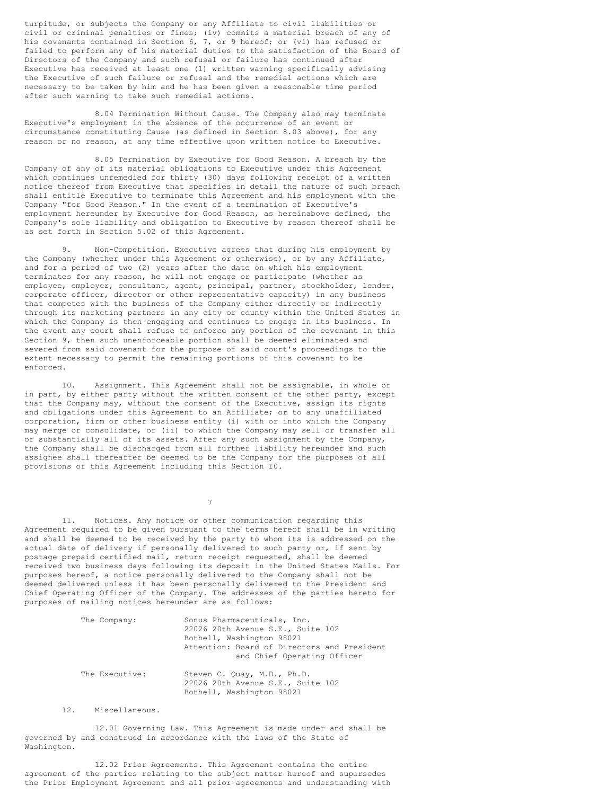turpitude, or subjects the Company or any Affiliate to civil liabilities or civil or criminal penalties or fines; (iv) commits a material breach of any of his covenants contained in Section 6, 7, or 9 hereof; or (vi) has refused or failed to perform any of his material duties to the satisfaction of the Board of Directors of the Company and such refusal or failure has continued after Executive has received at least one (1) written warning specifically advising the Executive of such failure or refusal and the remedial actions which are necessary to be taken by him and he has been given a reasonable time period after such warning to take such remedial actions.

8.04 Termination Without Cause. The Company also may terminate Executive's employment in the absence of the occurrence of an event or circumstance constituting Cause (as defined in Section 8.03 above), for any reason or no reason, at any time effective upon written notice to Executive.

8.05 Termination by Executive for Good Reason. A breach by the Company of any of its material obligations to Executive under this Agreement which continues unremedied for thirty (30) days following receipt of a written notice thereof from Executive that specifies in detail the nature of such breach shall entitle Executive to terminate this Agreement and his employment with the Company "for Good Reason." In the event of a termination of Executive's employment hereunder by Executive for Good Reason, as hereinabove defined, the Company's sole liability and obligation to Executive by reason thereof shall be as set forth in Section 5.02 of this Agreement.

9. Non-Competition. Executive agrees that during his employment by the Company (whether under this Agreement or otherwise), or by any Affiliate, and for a period of two (2) years after the date on which his employment terminates for any reason, he will not engage or participate (whether as employee, employer, consultant, agent, principal, partner, stockholder, lender, corporate officer, director or other representative capacity) in any business that competes with the business of the Company either directly or indirectly through its marketing partners in any city or county within the United States in which the Company is then engaging and continues to engage in its business. In the event any court shall refuse to enforce any portion of the covenant in this Section 9, then such unenforceable portion shall be deemed eliminated and severed from said covenant for the purpose of said court's proceedings to the extent necessary to permit the remaining portions of this covenant to be enforced.

10. Assignment. This Agreement shall not be assignable, in whole or in part, by either party without the written consent of the other party, except that the Company may, without the consent of the Executive, assign its rights and obligations under this Agreement to an Affiliate; or to any unaffiliated corporation, firm or other business entity (i) with or into which the Company may merge or consolidate, or (ii) to which the Company may sell or transfer all or substantially all of its assets. After any such assignment by the Company, the Company shall be discharged from all further liability hereunder and such assignee shall thereafter be deemed to be the Company for the purposes of all provisions of this Agreement including this Section 10.

7

11. Notices. Any notice or other communication regarding this Agreement required to be given pursuant to the terms hereof shall be in writing and shall be deemed to be received by the party to whom its is addressed on the actual date of delivery if personally delivered to such party or, if sent by postage prepaid certified mail, return receipt requested, shall be deemed received two business days following its deposit in the United States Mails. For purposes hereof, a notice personally delivered to the Company shall not be deemed delivered unless it has been personally delivered to the President and Chief Operating Officer of the Company. The addresses of the parties hereto for purposes of mailing notices hereunder are as follows:

| The Company:   | Sonus Pharmaceuticals, Inc.<br>22026 20th Avenue S.E., Suite 102<br>Bothell, Washington 98021 |  |
|----------------|-----------------------------------------------------------------------------------------------|--|
|                | Attention: Board of Directors and President<br>and Chief Operating Officer                    |  |
| The Executive: | Steven C. Quay, M.D., Ph.D.<br>22026 20th Avenue S.E., Suite 102<br>Bothell, Washington 98021 |  |

12. Miscellaneous.

12.01 Governing Law. This Agreement is made under and shall be governed by and construed in accordance with the laws of the State of Washington.

12.02 Prior Agreements. This Agreement contains the entire agreement of the parties relating to the subject matter hereof and supersedes the Prior Employment Agreement and all prior agreements and understanding with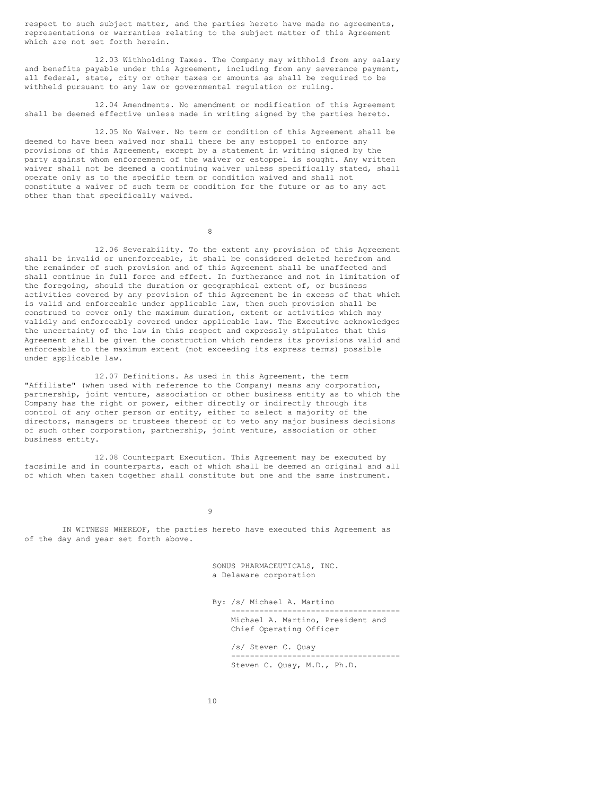respect to such subject matter, and the parties hereto have made no agreements, representations or warranties relating to the subject matter of this Agreement which are not set forth herein.

12.03 Withholding Taxes. The Company may withhold from any salary and benefits payable under this Agreement, including from any severance payment, all federal, state, city or other taxes or amounts as shall be required to be withheld pursuant to any law or governmental regulation or ruling.

12.04 Amendments. No amendment or modification of this Agreement shall be deemed effective unless made in writing signed by the parties hereto.

12.05 No Waiver. No term or condition of this Agreement shall be deemed to have been waived nor shall there be any estoppel to enforce any provisions of this Agreement, except by a statement in writing signed by the party against whom enforcement of the waiver or estoppel is sought. Any written waiver shall not be deemed a continuing waiver unless specifically stated, shall operate only as to the specific term or condition waived and shall not constitute a waiver of such term or condition for the future or as to any act other than that specifically waived.

8

12.06 Severability. To the extent any provision of this Agreement shall be invalid or unenforceable, it shall be considered deleted herefrom and the remainder of such provision and of this Agreement shall be unaffected and shall continue in full force and effect. In furtherance and not in limitation of the foregoing, should the duration or geographical extent of, or business activities covered by any provision of this Agreement be in excess of that which is valid and enforceable under applicable law, then such provision shall be construed to cover only the maximum duration, extent or activities which may validly and enforceably covered under applicable law. The Executive acknowledges the uncertainty of the law in this respect and expressly stipulates that this Agreement shall be given the construction which renders its provisions valid and enforceable to the maximum extent (not exceeding its express terms) possible under applicable law.

12.07 Definitions. As used in this Agreement, the term "Affiliate" (when used with reference to the Company) means any corporation, partnership, joint venture, association or other business entity as to which the Company has the right or power, either directly or indirectly through its control of any other person or entity, either to select a majority of the directors, managers or trustees thereof or to veto any major business decisions of such other corporation, partnership, joint venture, association or other business entity.

12.08 Counterpart Execution. This Agreement may be executed by facsimile and in counterparts, each of which shall be deemed an original and all of which when taken together shall constitute but one and the same instrument.

9

IN WITNESS WHEREOF, the parties hereto have executed this Agreement as of the day and year set forth above.

> SONUS PHARMACEUTICALS, INC. a Delaware corporation

By: /s/ Michael A. Martino ------------------------------------

Michael A. Martino, President and Chief Operating Officer

/s/ Steven C. Quay ------------------------------------ Steven C. Quay, M.D., Ph.D.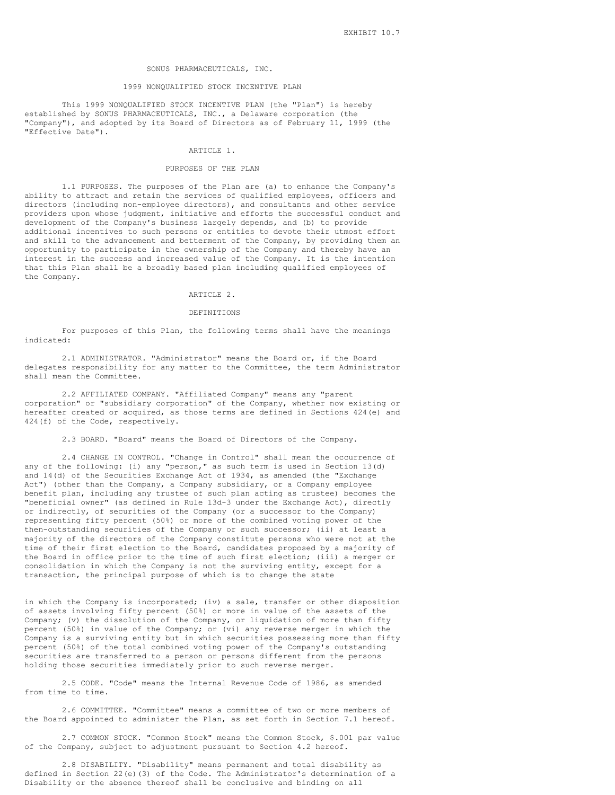#### SONUS PHARMACEUTICALS, INC.

## 1999 NONQUALIFIED STOCK INCENTIVE PLAN

This 1999 NONQUALIFIED STOCK INCENTIVE PLAN (the "Plan") is hereby established by SONUS PHARMACEUTICALS, INC., a Delaware corporation (the "Company"), and adopted by its Board of Directors as of February 11, 1999 (the "Effective Date").

#### ARTICLE 1.

#### PURPOSES OF THE PLAN

1.1 PURPOSES. The purposes of the Plan are (a) to enhance the Company's ability to attract and retain the services of qualified employees, officers and directors (including non-employee directors), and consultants and other service providers upon whose judgment, initiative and efforts the successful conduct and development of the Company's business largely depends, and (b) to provide additional incentives to such persons or entities to devote their utmost effort and skill to the advancement and betterment of the Company, by providing them an opportunity to participate in the ownership of the Company and thereby have an interest in the success and increased value of the Company. It is the intention that this Plan shall be a broadly based plan including qualified employees of the Company.

### ARTICLE 2.

## DEFINITIONS

For purposes of this Plan, the following terms shall have the meanings indicated:

2.1 ADMINISTRATOR. "Administrator" means the Board or, if the Board delegates responsibility for any matter to the Committee, the term Administrator shall mean the Committee.

2.2 AFFILIATED COMPANY. "Affiliated Company" means any "parent corporation" or "subsidiary corporation" of the Company, whether now existing or hereafter created or acquired, as those terms are defined in Sections 424(e) and 424(f) of the Code, respectively.

2.3 BOARD. "Board" means the Board of Directors of the Company.

2.4 CHANGE IN CONTROL. "Change in Control" shall mean the occurrence of any of the following: (i) any "person," as such term is used in Section 13(d) and 14(d) of the Securities Exchange Act of 1934, as amended (the "Exchange Act") (other than the Company, a Company subsidiary, or a Company employee benefit plan, including any trustee of such plan acting as trustee) becomes the "beneficial owner" (as defined in Rule 13d-3 under the Exchange Act), directly or indirectly, of securities of the Company (or a successor to the Company) representing fifty percent (50%) or more of the combined voting power of the then-outstanding securities of the Company or such successor; (ii) at least a majority of the directors of the Company constitute persons who were not at the time of their first election to the Board, candidates proposed by a majority of the Board in office prior to the time of such first election; (iii) a merger or consolidation in which the Company is not the surviving entity, except for a transaction, the principal purpose of which is to change the state

in which the Company is incorporated; (iv) a sale, transfer or other disposition of assets involving fifty percent (50%) or more in value of the assets of the Company; (v) the dissolution of the Company, or liquidation of more than fifty percent (50%) in value of the Company; or (vi) any reverse merger in which the Company is a surviving entity but in which securities possessing more than fifty percent (50%) of the total combined voting power of the Company's outstanding securities are transferred to a person or persons different from the persons holding those securities immediately prior to such reverse merger.

2.5 CODE. "Code" means the Internal Revenue Code of 1986, as amended from time to time.

2.6 COMMITTEE. "Committee" means a committee of two or more members of the Board appointed to administer the Plan, as set forth in Section 7.1 hereof.

2.7 COMMON STOCK. "Common Stock" means the Common Stock, \$.001 par value of the Company, subject to adjustment pursuant to Section 4.2 hereof.

2.8 DISABILITY. "Disability" means permanent and total disability as defined in Section 22(e)(3) of the Code. The Administrator's determination of a Disability or the absence thereof shall be conclusive and binding on all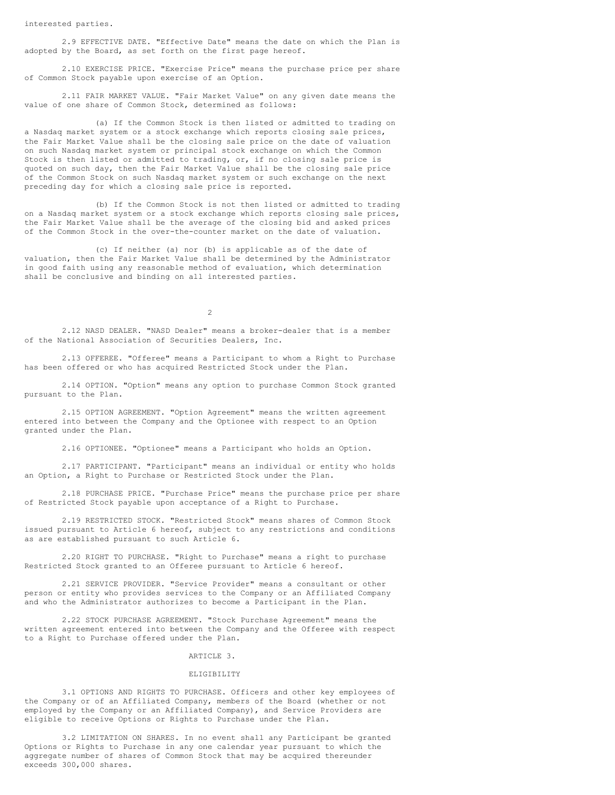2.9 EFFECTIVE DATE. "Effective Date" means the date on which the Plan is adopted by the Board, as set forth on the first page hereof.

2.10 EXERCISE PRICE. "Exercise Price" means the purchase price per share of Common Stock payable upon exercise of an Option.

2.11 FAIR MARKET VALUE. "Fair Market Value" on any given date means the value of one share of Common Stock, determined as follows:

(a) If the Common Stock is then listed or admitted to trading on a Nasdaq market system or a stock exchange which reports closing sale prices, the Fair Market Value shall be the closing sale price on the date of valuation on such Nasdaq market system or principal stock exchange on which the Common Stock is then listed or admitted to trading, or, if no closing sale price is quoted on such day, then the Fair Market Value shall be the closing sale price of the Common Stock on such Nasdaq market system or such exchange on the next preceding day for which a closing sale price is reported.

(b) If the Common Stock is not then listed or admitted to trading on a Nasdaq market system or a stock exchange which reports closing sale prices, the Fair Market Value shall be the average of the closing bid and asked prices of the Common Stock in the over-the-counter market on the date of valuation.

(c) If neither (a) nor (b) is applicable as of the date of valuation, then the Fair Market Value shall be determined by the Administrator in good faith using any reasonable method of evaluation, which determination shall be conclusive and binding on all interested parties.

 $\overline{2}$ 

2.12 NASD DEALER. "NASD Dealer" means a broker-dealer that is a member of the National Association of Securities Dealers, Inc.

2.13 OFFEREE. "Offeree" means a Participant to whom a Right to Purchase has been offered or who has acquired Restricted Stock under the Plan.

2.14 OPTION. "Option" means any option to purchase Common Stock granted pursuant to the Plan.

2.15 OPTION AGREEMENT. "Option Agreement" means the written agreement entered into between the Company and the Optionee with respect to an Option granted under the Plan.

2.16 OPTIONEE. "Optionee" means a Participant who holds an Option.

2.17 PARTICIPANT. "Participant" means an individual or entity who holds an Option, a Right to Purchase or Restricted Stock under the Plan.

2.18 PURCHASE PRICE. "Purchase Price" means the purchase price per share of Restricted Stock payable upon acceptance of a Right to Purchase.

2.19 RESTRICTED STOCK. "Restricted Stock" means shares of Common Stock issued pursuant to Article 6 hereof, subject to any restrictions and conditions as are established pursuant to such Article 6.

2.20 RIGHT TO PURCHASE. "Right to Purchase" means a right to purchase Restricted Stock granted to an Offeree pursuant to Article 6 hereof.

2.21 SERVICE PROVIDER. "Service Provider" means a consultant or other person or entity who provides services to the Company or an Affiliated Company and who the Administrator authorizes to become a Participant in the Plan.

2.22 STOCK PURCHASE AGREEMENT. "Stock Purchase Agreement" means the written agreement entered into between the Company and the Offeree with respect to a Right to Purchase offered under the Plan.

### ARTICLE 3.

## **ELIGIBILITY**

3.1 OPTIONS AND RIGHTS TO PURCHASE. Officers and other key employees of the Company or of an Affiliated Company, members of the Board (whether or not employed by the Company or an Affiliated Company), and Service Providers are eligible to receive Options or Rights to Purchase under the Plan.

3.2 LIMITATION ON SHARES. In no event shall any Participant be granted Options or Rights to Purchase in any one calendar year pursuant to which the aggregate number of shares of Common Stock that may be acquired thereunder exceeds 300,000 shares.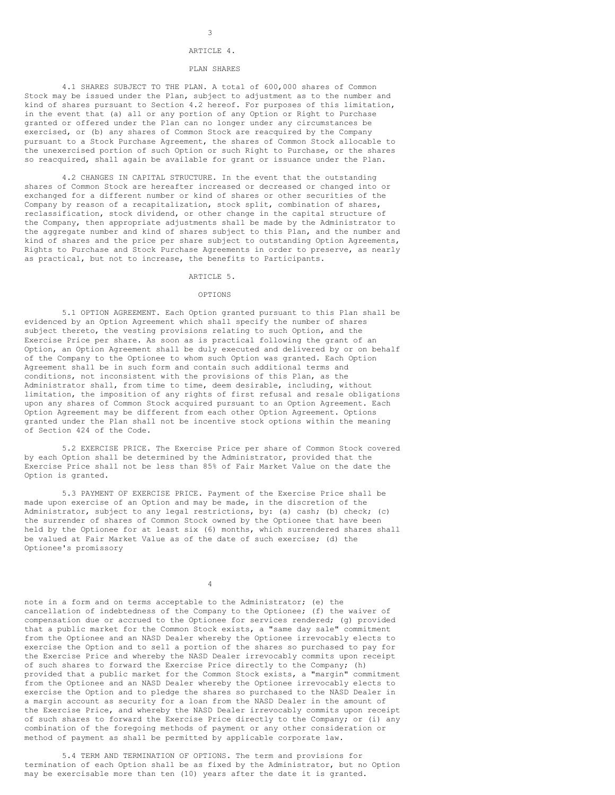## ARTICLE 4.

## PLAN SHARES

4.1 SHARES SUBJECT TO THE PLAN. A total of 600,000 shares of Common Stock may be issued under the Plan, subject to adjustment as to the number and kind of shares pursuant to Section 4.2 hereof. For purposes of this limitation, in the event that (a) all or any portion of any Option or Right to Purchase granted or offered under the Plan can no longer under any circumstances be exercised, or (b) any shares of Common Stock are reacquired by the Company pursuant to a Stock Purchase Agreement, the shares of Common Stock allocable to the unexercised portion of such Option or such Right to Purchase, or the shares so reacquired, shall again be available for grant or issuance under the Plan.

4.2 CHANGES IN CAPITAL STRUCTURE. In the event that the outstanding shares of Common Stock are hereafter increased or decreased or changed into or exchanged for a different number or kind of shares or other securities of the Company by reason of a recapitalization, stock split, combination of shares, reclassification, stock dividend, or other change in the capital structure of the Company, then appropriate adjustments shall be made by the Administrator to the aggregate number and kind of shares subject to this Plan, and the number and kind of shares and the price per share subject to outstanding Option Agreements, Rights to Purchase and Stock Purchase Agreements in order to preserve, as nearly as practical, but not to increase, the benefits to Participants.

#### ARTICLE 5.

### OPTIONS

5.1 OPTION AGREEMENT. Each Option granted pursuant to this Plan shall be evidenced by an Option Agreement which shall specify the number of shares subject thereto, the vesting provisions relating to such Option, and the Exercise Price per share. As soon as is practical following the grant of an Option, an Option Agreement shall be duly executed and delivered by or on behalf of the Company to the Optionee to whom such Option was granted. Each Option Agreement shall be in such form and contain such additional terms and conditions, not inconsistent with the provisions of this Plan, as the Administrator shall, from time to time, deem desirable, including, without limitation, the imposition of any rights of first refusal and resale obligations upon any shares of Common Stock acquired pursuant to an Option Agreement. Each Option Agreement may be different from each other Option Agreement. Options granted under the Plan shall not be incentive stock options within the meaning of Section 424 of the Code.

5.2 EXERCISE PRICE. The Exercise Price per share of Common Stock covered by each Option shall be determined by the Administrator, provided that the Exercise Price shall not be less than 85% of Fair Market Value on the date the Option is granted.

5.3 PAYMENT OF EXERCISE PRICE. Payment of the Exercise Price shall be made upon exercise of an Option and may be made, in the discretion of the Administrator, subject to any legal restrictions, by: (a) cash; (b) check; (c) the surrender of shares of Common Stock owned by the Optionee that have been held by the Optionee for at least six (6) months, which surrendered shares shall be valued at Fair Market Value as of the date of such exercise; (d) the Optionee's promissory

4

note in a form and on terms acceptable to the Administrator; (e) the cancellation of indebtedness of the Company to the Optionee; (f) the waiver of compensation due or accrued to the Optionee for services rendered; (g) provided that a public market for the Common Stock exists, a "same day sale" commitment from the Optionee and an NASD Dealer whereby the Optionee irrevocably elects to exercise the Option and to sell a portion of the shares so purchased to pay for the Exercise Price and whereby the NASD Dealer irrevocably commits upon receipt of such shares to forward the Exercise Price directly to the Company; (h) provided that a public market for the Common Stock exists, a "margin" commitment from the Optionee and an NASD Dealer whereby the Optionee irrevocably elects to exercise the Option and to pledge the shares so purchased to the NASD Dealer in a margin account as security for a loan from the NASD Dealer in the amount of the Exercise Price, and whereby the NASD Dealer irrevocably commits upon receipt of such shares to forward the Exercise Price directly to the Company; or (i) any combination of the foregoing methods of payment or any other consideration or method of payment as shall be permitted by applicable corporate law.

5.4 TERM AND TERMINATION OF OPTIONS. The term and provisions for termination of each Option shall be as fixed by the Administrator, but no Option may be exercisable more than ten (10) years after the date it is granted.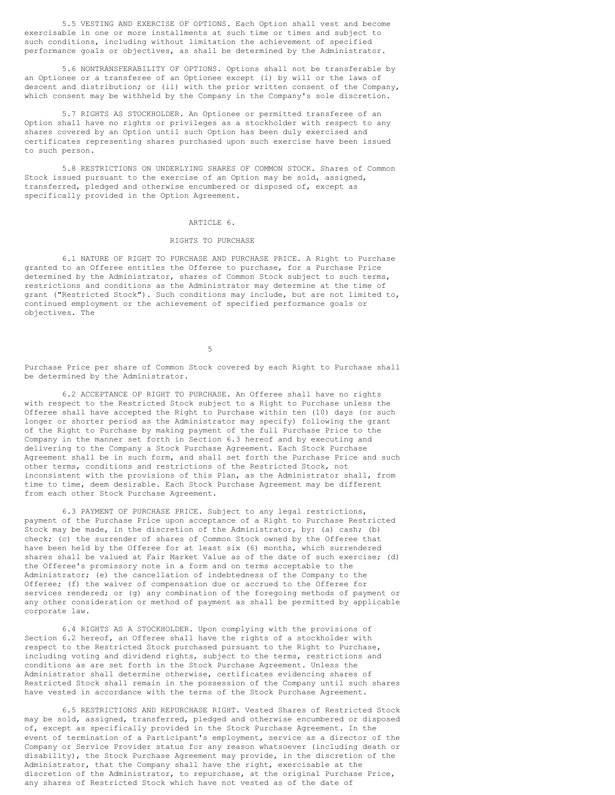5.5 VESTING AND EXERCISE OF OPTIONS. Each Option shall vest and become exercisable in one or more installments at such time or times and subject to such conditions, including without limitation the achievement of specified performance goals or objectives, as shall be determined by the Administrator.

5.6 NONTRANSFERABILITY OF OPTIONS. Options shall not be transferable by an Optionee or a transferee of an Optionee except (i) by will or the laws of descent and distribution; or (ii) with the prior written consent of the Company, which consent may be withheld by the Company in the Company's sole discretion.

5.7 RIGHTS AS STOCKHOLDER. An Optionee or permitted transferee of an Option shall have no rights or privileges as a stockholder with respect to any shares covered by an Option until such Option has been duly exercised and certificates representing shares purchased upon such exercise have been issued to such person.

5.8 RESTRICTIONS ON UNDERLYING SHARES OF COMMON STOCK. Shares of Common Stock issued pursuant to the exercise of an Option may be sold, assigned, transferred, pledged and otherwise encumbered or disposed of, except as specifically provided in the Option Agreement.

## ARTICLE 6.

#### RIGHTS TO PURCHASE

6.1 NATURE OF RIGHT TO PURCHASE AND PURCHASE PRICE. A Right to Purchase granted to an Offeree entitles the Offeree to purchase, for a Purchase Price determined by the Administrator, shares of Common Stock subject to such terms, restrictions and conditions as the Administrator may determine at the time of grant ("Restricted Stock"). Such conditions may include, but are not limited to, continued employment or the achievement of specified performance goals or objectives. The

5

Purchase Price per share of Common Stock covered by each Right to Purchase shall be determined by the Administrator.

6.2 ACCEPTANCE OF RIGHT TO PURCHASE. An Offeree shall have no rights with respect to the Restricted Stock subject to a Right to Purchase unless the Offeree shall have accepted the Right to Purchase within ten (10) days (or such longer or shorter period as the Administrator may specify) following the grant of the Right to Purchase by making payment of the full Purchase Price to the Company in the manner set forth in Section 6.3 hereof and by executing and delivering to the Company a Stock Purchase Agreement. Each Stock Purchase Agreement shall be in such form, and shall set forth the Purchase Price and such other terms, conditions and restrictions of the Restricted Stock, not inconsistent with the provisions of this Plan, as the Administrator shall, from time to time, deem desirable. Each Stock Purchase Agreement may be different from each other Stock Purchase Agreement.

6.3 PAYMENT OF PURCHASE PRICE. Subject to any legal restrictions, payment of the Purchase Price upon acceptance of a Right to Purchase Restricted Stock may be made, in the discretion of the Administrator, by: (a) cash; (b) check; (c) the surrender of shares of Common Stock owned by the Offeree that have been held by the Offeree for at least six (6) months, which surrendered shares shall be valued at Fair Market Value as of the date of such exercise; (d) the Offeree's promissory note in a form and on terms acceptable to the Administrator; (e) the cancellation of indebtedness of the Company to the Offeree; (f) the waiver of compensation due or accrued to the Offeree for services rendered; or (g) any combination of the foregoing methods of payment or any other consideration or method of payment as shall be permitted by applicable corporate law.

6.4 RIGHTS AS A STOCKHOLDER. Upon complying with the provisions of Section 6.2 hereof, an Offeree shall have the rights of a stockholder with respect to the Restricted Stock purchased pursuant to the Right to Purchase, including voting and dividend rights, subject to the terms, restrictions and conditions as are set forth in the Stock Purchase Agreement. Unless the Administrator shall determine otherwise, certificates evidencing shares of Restricted Stock shall remain in the possession of the Company until such shares have vested in accordance with the terms of the Stock Purchase Agreement.

6.5 RESTRICTIONS AND REPURCHASE RIGHT. Vested Shares of Restricted Stock may be sold, assigned, transferred, pledged and otherwise encumbered or disposed of, except as specifically provided in the Stock Purchase Agreement. In the event of termination of a Participant's employment, service as a director of the Company or Service Provider status for any reason whatsoever (including death or disability), the Stock Purchase Agreement may provide, in the discretion of the Administrator, that the Company shall have the right, exercisable at the discretion of the Administrator, to repurchase, at the original Purchase Price, any shares of Restricted Stock which have not vested as of the date of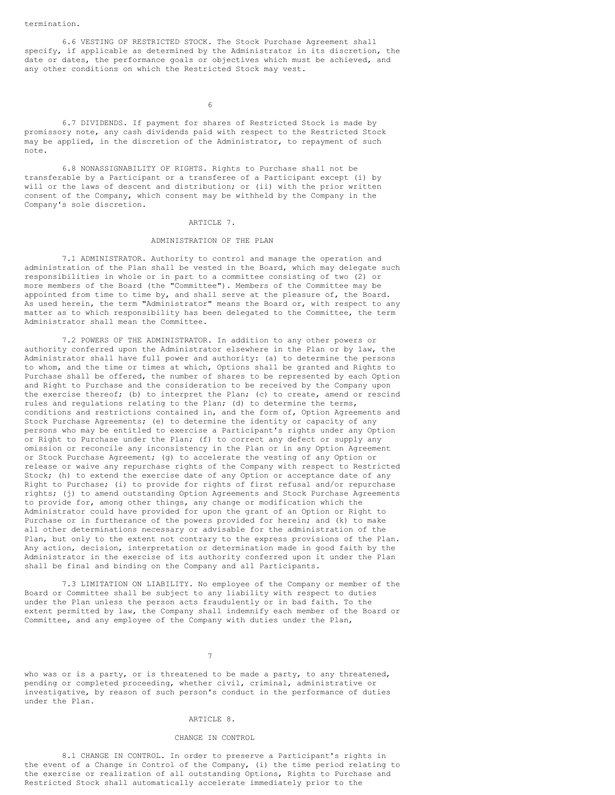6.6 VESTING OF RESTRICTED STOCK. The Stock Purchase Agreement shall specify, if applicable as determined by the Administrator in its discretion, the date or dates, the performance goals or objectives which must be achieved, and any other conditions on which the Restricted Stock may vest.

6

6.7 DIVIDENDS. If payment for shares of Restricted Stock is made by promissory note, any cash dividends paid with respect to the Restricted Stock may be applied, in the discretion of the Administrator, to repayment of such note.

6.8 NONASSIGNABILITY OF RIGHTS. Rights to Purchase shall not be transferable by a Participant or a transferee of a Participant except (i) by will or the laws of descent and distribution; or (ii) with the prior written consent of the Company, which consent may be withheld by the Company in the Company's sole discretion.

## ARTICLE 7.

#### ADMINISTRATION OF THE PLAN

7.1 ADMINISTRATOR. Authority to control and manage the operation and administration of the Plan shall be vested in the Board, which may delegate such responsibilities in whole or in part to a committee consisting of two (2) or more members of the Board (the "Committee"). Members of the Committee may be appointed from time to time by, and shall serve at the pleasure of, the Board. As used herein, the term "Administrator" means the Board or, with respect to any matter as to which responsibility has been delegated to the Committee, the term Administrator shall mean the Committee.

7.2 POWERS OF THE ADMINISTRATOR. In addition to any other powers or authority conferred upon the Administrator elsewhere in the Plan or by law, the Administrator shall have full power and authority: (a) to determine the persons to whom, and the time or times at which, Options shall be granted and Rights to Purchase shall be offered, the number of shares to be represented by each Option and Right to Purchase and the consideration to be received by the Company upon the exercise thereof; (b) to interpret the Plan; (c) to create, amend or rescind rules and regulations relating to the Plan; (d) to determine the terms, conditions and restrictions contained in, and the form of, Option Agreements and Stock Purchase Agreements; (e) to determine the identity or capacity of any persons who may be entitled to exercise a Participant's rights under any Option or Right to Purchase under the Plan; (f) to correct any defect or supply any omission or reconcile any inconsistency in the Plan or in any Option Agreement or Stock Purchase Agreement; (g) to accelerate the vesting of any Option or release or waive any repurchase rights of the Company with respect to Restricted Stock; (h) to extend the exercise date of any Option or acceptance date of any Right to Purchase; (i) to provide for rights of first refusal and/or repurchase rights; (j) to amend outstanding Option Agreements and Stock Purchase Agreements to provide for, among other things, any change or modification which the Administrator could have provided for upon the grant of an Option or Right to Purchase or in furtherance of the powers provided for herein; and (k) to make all other determinations necessary or advisable for the administration of the Plan, but only to the extent not contrary to the express provisions of the Plan. Any action, decision, interpretation or determination made in good faith by the Administrator in the exercise of its authority conferred upon it under the Plan shall be final and binding on the Company and all Participants.

7.3 LIMITATION ON LIABILITY. No employee of the Company or member of the Board or Committee shall be subject to any liability with respect to duties under the Plan unless the person acts fraudulently or in bad faith. To the extent permitted by law, the Company shall indemnify each member of the Board or Committee, and any employee of the Company with duties under the Plan,

7

who was or is a party, or is threatened to be made a party, to any threatened, pending or completed proceeding, whether civil, criminal, administrative or investigative, by reason of such person's conduct in the performance of duties under the Plan.

## ARTICLE 8.

## CHANGE IN CONTROL

8.1 CHANGE IN CONTROL. In order to preserve a Participant's rights in the event of a Change in Control of the Company, (i) the time period relating to the exercise or realization of all outstanding Options, Rights to Purchase and Restricted Stock shall automatically accelerate immediately prior to the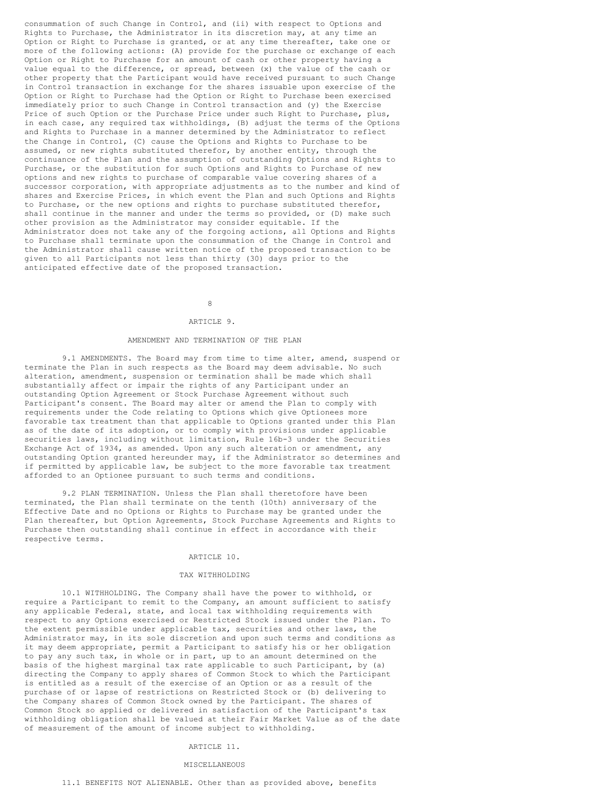consummation of such Change in Control, and (ii) with respect to Options and Rights to Purchase, the Administrator in its discretion may, at any time an Option or Right to Purchase is granted, or at any time thereafter, take one or more of the following actions: (A) provide for the purchase or exchange of each Option or Right to Purchase for an amount of cash or other property having a value equal to the difference, or spread, between (x) the value of the cash or other property that the Participant would have received pursuant to such Change in Control transaction in exchange for the shares issuable upon exercise of the Option or Right to Purchase had the Option or Right to Purchase been exercised immediately prior to such Change in Control transaction and (y) the Exercise Price of such Option or the Purchase Price under such Right to Purchase, plus, in each case, any required tax withholdings, (B) adjust the terms of the Options and Rights to Purchase in a manner determined by the Administrator to reflect the Change in Control, (C) cause the Options and Rights to Purchase to be assumed, or new rights substituted therefor, by another entity, through the continuance of the Plan and the assumption of outstanding Options and Rights to Purchase, or the substitution for such Options and Rights to Purchase of new options and new rights to purchase of comparable value covering shares of a successor corporation, with appropriate adjustments as to the number and kind of shares and Exercise Prices, in which event the Plan and such Options and Rights to Purchase, or the new options and rights to purchase substituted therefor, shall continue in the manner and under the terms so provided, or (D) make such other provision as the Administrator may consider equitable. If the Administrator does not take any of the forgoing actions, all Options and Rights to Purchase shall terminate upon the consummation of the Change in Control and the Administrator shall cause written notice of the proposed transaction to be given to all Participants not less than thirty (30) days prior to the anticipated effective date of the proposed transaction.

# 8

### ARTICLE 9.

## AMENDMENT AND TERMINATION OF THE PLAN

9.1 AMENDMENTS. The Board may from time to time alter, amend, suspend or terminate the Plan in such respects as the Board may deem advisable. No such alteration, amendment, suspension or termination shall be made which shall substantially affect or impair the rights of any Participant under an outstanding Option Agreement or Stock Purchase Agreement without such Participant's consent. The Board may alter or amend the Plan to comply with requirements under the Code relating to Options which give Optionees more favorable tax treatment than that applicable to Options granted under this Plan as of the date of its adoption, or to comply with provisions under applicable securities laws, including without limitation, Rule 16b-3 under the Securities Exchange Act of 1934, as amended. Upon any such alteration or amendment, any outstanding Option granted hereunder may, if the Administrator so determines and if permitted by applicable law, be subject to the more favorable tax treatment afforded to an Optionee pursuant to such terms and conditions.

9.2 PLAN TERMINATION. Unless the Plan shall theretofore have been terminated, the Plan shall terminate on the tenth (10th) anniversary of the Effective Date and no Options or Rights to Purchase may be granted under the Plan thereafter, but Option Agreements, Stock Purchase Agreements and Rights to Purchase then outstanding shall continue in effect in accordance with their respective terms.

### ARTICLE 10.

## TAX WITHHOLDING

10.1 WITHHOLDING. The Company shall have the power to withhold, or require a Participant to remit to the Company, an amount sufficient to satisfy any applicable Federal, state, and local tax withholding requirements with respect to any Options exercised or Restricted Stock issued under the Plan. To the extent permissible under applicable tax, securities and other laws, the Administrator may, in its sole discretion and upon such terms and conditions as it may deem appropriate, permit a Participant to satisfy his or her obligation to pay any such tax, in whole or in part, up to an amount determined on the basis of the highest marginal tax rate applicable to such Participant, by (a) directing the Company to apply shares of Common Stock to which the Participant is entitled as a result of the exercise of an Option or as a result of the purchase of or lapse of restrictions on Restricted Stock or (b) delivering to the Company shares of Common Stock owned by the Participant. The shares of Common Stock so applied or delivered in satisfaction of the Participant's tax withholding obligation shall be valued at their Fair Market Value as of the date of measurement of the amount of income subject to withholding.

### ARTICLE 11.

#### MISCELLANEOUS

## 11.1 BENEFITS NOT ALIENABLE. Other than as provided above, benefits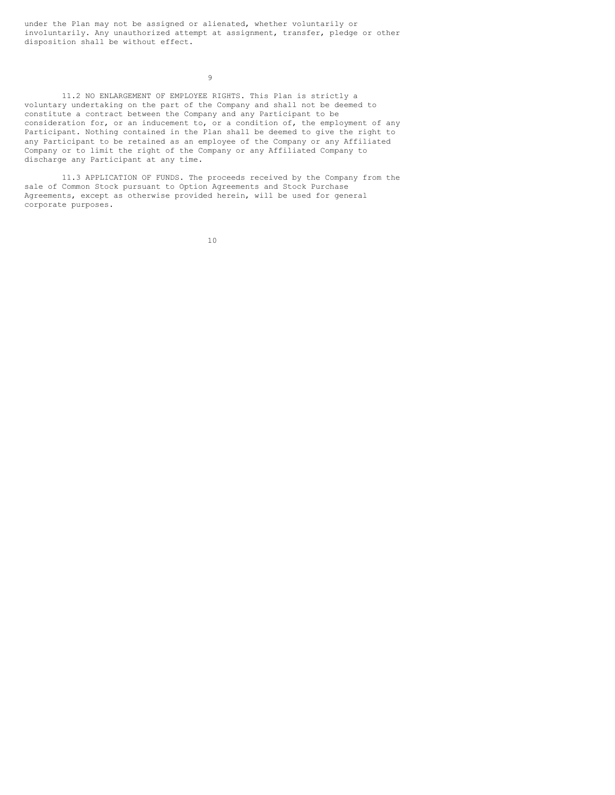under the Plan may not be assigned or alienated, whether voluntarily or involuntarily. Any unauthorized attempt at assignment, transfer, pledge or other disposition shall be without effect.

9

11.2 NO ENLARGEMENT OF EMPLOYEE RIGHTS. This Plan is strictly a voluntary undertaking on the part of the Company and shall not be deemed to constitute a contract between the Company and any Participant to be consideration for, or an inducement to, or a condition of, the employment of any Participant. Nothing contained in the Plan shall be deemed to give the right to any Participant to be retained as an employee of the Company or any Affiliated Company or to limit the right of the Company or any Affiliated Company to discharge any Participant at any time.

11.3 APPLICATION OF FUNDS. The proceeds received by the Company from the sale of Common Stock pursuant to Option Agreements and Stock Purchase Agreements, except as otherwise provided herein, will be used for general corporate purposes.

10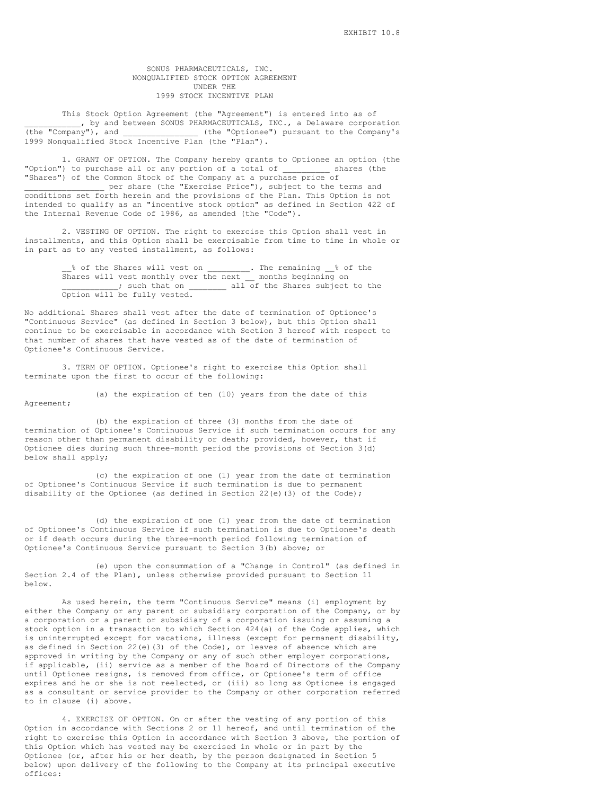## SONUS PHARMACEUTICALS, INC. NONQUALIFIED STOCK OPTION AGREEMENT UNDER THE 1999 STOCK INCENTIVE PLAN

This Stock Option Agreement (the "Agreement") is entered into as of , by and between SONUS PHARMACEUTICALS, INC., a Delaware corporation (the "Company"), and \_\_\_\_\_\_\_\_\_\_\_\_\_\_\_ (the "Optionee") pursuant to the Company's (the "Optionee") pursuant to the Company's 1999 Nonqualified Stock Incentive Plan (the "Plan").

1. GRANT OF OPTION. The Company hereby grants to Optionee an option (the "Option") to purchase all or any portion of a total of \_\_\_\_\_\_\_\_\_\_ shares (the "Shares") of the Common Stock of the Company at a purchase price of

\_ per share (the "Exercise Price"), subject to the terms and conditions set forth herein and the provisions of the Plan. This Option is not intended to qualify as an "incentive stock option" as defined in Section 422 of the Internal Revenue Code of 1986, as amended (the "Code").

2. VESTING OF OPTION. The right to exercise this Option shall vest in installments, and this Option shall be exercisable from time to time in whole or in part as to any vested installment, as follows:

\_\_% of the Shares will vest on \_\_\_\_\_\_\_\_\_. The remaining \_\_% of the Shares will vest monthly over the next \_\_ months beginning on \_\_\_\_\_\_\_\_\_\_\_\_; such that on \_\_\_\_\_\_\_\_ all of the Shares subject to the Option will be fully vested.

No additional Shares shall vest after the date of termination of Optionee's "Continuous Service" (as defined in Section 3 below), but this Option shall continue to be exercisable in accordance with Section 3 hereof with respect to that number of shares that have vested as of the date of termination of Optionee's Continuous Service.

3. TERM OF OPTION. Optionee's right to exercise this Option shall terminate upon the first to occur of the following:

(a) the expiration of ten (10) years from the date of this Agreement;

(b) the expiration of three (3) months from the date of termination of Optionee's Continuous Service if such termination occurs for any reason other than permanent disability or death; provided, however, that if Optionee dies during such three-month period the provisions of Section 3(d) below shall apply;

(c) the expiration of one (1) year from the date of termination of Optionee's Continuous Service if such termination is due to permanent disability of the Optionee (as defined in Section 22(e)(3) of the Code);

(d) the expiration of one (1) year from the date of termination of Optionee's Continuous Service if such termination is due to Optionee's death or if death occurs during the three-month period following termination of Optionee's Continuous Service pursuant to Section 3(b) above; or

(e) upon the consummation of a "Change in Control" (as defined in Section 2.4 of the Plan), unless otherwise provided pursuant to Section 11 below.

As used herein, the term "Continuous Service" means (i) employment by either the Company or any parent or subsidiary corporation of the Company, or by a corporation or a parent or subsidiary of a corporation issuing or assuming a stock option in a transaction to which Section 424(a) of the Code applies, which is uninterrupted except for vacations, illness (except for permanent disability, as defined in Section 22(e)(3) of the Code), or leaves of absence which are approved in writing by the Company or any of such other employer corporations, if applicable, (ii) service as a member of the Board of Directors of the Company until Optionee resigns, is removed from office, or Optionee's term of office expires and he or she is not reelected, or (iii) so long as Optionee is engaged as a consultant or service provider to the Company or other corporation referred to in clause (i) above.

4. EXERCISE OF OPTION. On or after the vesting of any portion of this Option in accordance with Sections 2 or 11 hereof, and until termination of the right to exercise this Option in accordance with Section 3 above, the portion of this Option which has vested may be exercised in whole or in part by the Optionee (or, after his or her death, by the person designated in Section 5 below) upon delivery of the following to the Company at its principal executive offices: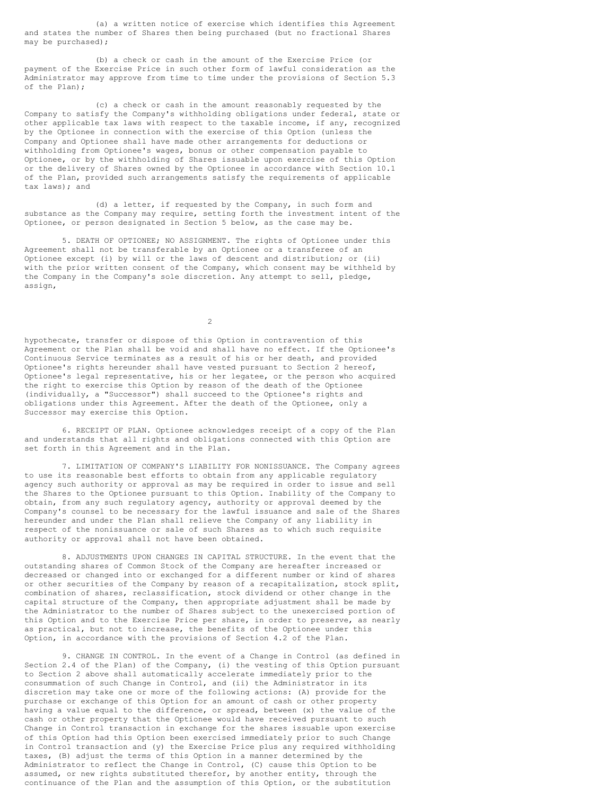(a) a written notice of exercise which identifies this Agreement and states the number of Shares then being purchased (but no fractional Shares may be purchased);

(b) a check or cash in the amount of the Exercise Price (or payment of the Exercise Price in such other form of lawful consideration as the Administrator may approve from time to time under the provisions of Section 5.3 of the Plan);

(c) a check or cash in the amount reasonably requested by the Company to satisfy the Company's withholding obligations under federal, state or other applicable tax laws with respect to the taxable income, if any, recognized by the Optionee in connection with the exercise of this Option (unless the Company and Optionee shall have made other arrangements for deductions or withholding from Optionee's wages, bonus or other compensation payable to Optionee, or by the withholding of Shares issuable upon exercise of this Option or the delivery of Shares owned by the Optionee in accordance with Section 10.1 of the Plan, provided such arrangements satisfy the requirements of applicable tax laws); and

(d) a letter, if requested by the Company, in such form and substance as the Company may require, setting forth the investment intent of the Optionee, or person designated in Section 5 below, as the case may be.

5. DEATH OF OPTIONEE; NO ASSIGNMENT. The rights of Optionee under this Agreement shall not be transferable by an Optionee or a transferee of an Optionee except (i) by will or the laws of descent and distribution; or (ii) with the prior written consent of the Company, which consent may be withheld by the Company in the Company's sole discretion. Any attempt to sell, pledge, assign,

 $\overline{2}$ 

hypothecate, transfer or dispose of this Option in contravention of this Agreement or the Plan shall be void and shall have no effect. If the Optionee's Continuous Service terminates as a result of his or her death, and provided Optionee's rights hereunder shall have vested pursuant to Section 2 hereof, Optionee's legal representative, his or her legatee, or the person who acquired the right to exercise this Option by reason of the death of the Optionee (individually, a "Successor") shall succeed to the Optionee's rights and obligations under this Agreement. After the death of the Optionee, only a Successor may exercise this Option.

6. RECEIPT OF PLAN. Optionee acknowledges receipt of a copy of the Plan and understands that all rights and obligations connected with this Option are set forth in this Agreement and in the Plan.

7. LIMITATION OF COMPANY'S LIABILITY FOR NONISSUANCE. The Company agrees to use its reasonable best efforts to obtain from any applicable regulatory agency such authority or approval as may be required in order to issue and sell the Shares to the Optionee pursuant to this Option. Inability of the Company to obtain, from any such regulatory agency, authority or approval deemed by the Company's counsel to be necessary for the lawful issuance and sale of the Shares hereunder and under the Plan shall relieve the Company of any liability in respect of the nonissuance or sale of such Shares as to which such requisite authority or approval shall not have been obtained.

8. ADJUSTMENTS UPON CHANGES IN CAPITAL STRUCTURE. In the event that the outstanding shares of Common Stock of the Company are hereafter increased or decreased or changed into or exchanged for a different number or kind of shares or other securities of the Company by reason of a recapitalization, stock split, combination of shares, reclassification, stock dividend or other change in the capital structure of the Company, then appropriate adjustment shall be made by the Administrator to the number of Shares subject to the unexercised portion of this Option and to the Exercise Price per share, in order to preserve, as nearly as practical, but not to increase, the benefits of the Optionee under this Option, in accordance with the provisions of Section 4.2 of the Plan.

9. CHANGE IN CONTROL. In the event of a Change in Control (as defined in Section 2.4 of the Plan) of the Company, (i) the vesting of this Option pursuant to Section 2 above shall automatically accelerate immediately prior to the consummation of such Change in Control, and (ii) the Administrator in its discretion may take one or more of the following actions: (A) provide for the purchase or exchange of this Option for an amount of cash or other property having a value equal to the difference, or spread, between (x) the value of the cash or other property that the Optionee would have received pursuant to such Change in Control transaction in exchange for the shares issuable upon exercise of this Option had this Option been exercised immediately prior to such Change in Control transaction and (y) the Exercise Price plus any required withholding taxes, (B) adjust the terms of this Option in a manner determined by the Administrator to reflect the Change in Control, (C) cause this Option to be assumed, or new rights substituted therefor, by another entity, through the continuance of the Plan and the assumption of this Option, or the substitution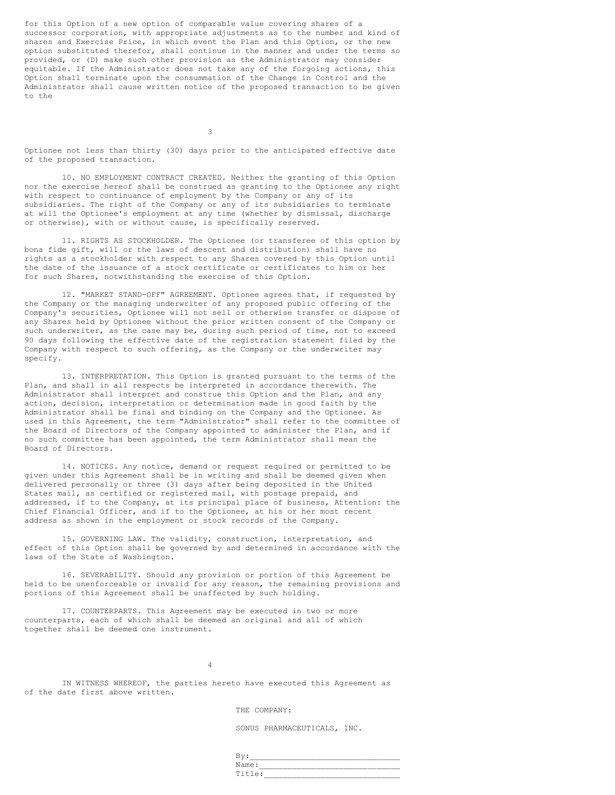for this Option of a new option of comparable value covering shares of a successor corporation, with appropriate adjustments as to the number and kind of shares and Exercise Price, in which event the Plan and this Option, or the new option substituted therefor, shall continue in the manner and under the terms so provided, or (D) make such other provision as the Administrator may consider equitable. If the Administrator does not take any of the forgoing actions, this Option shall terminate upon the consummation of the Change in Control and the Administrator shall cause written notice of the proposed transaction to be given to the

3

Optionee not less than thirty (30) days prior to the anticipated effective date of the proposed transaction.

10. NO EMPLOYMENT CONTRACT CREATED. Neither the granting of this Option nor the exercise hereof shall be construed as granting to the Optionee any right with respect to continuance of employment by the Company or any of its subsidiaries. The right of the Company or any of its subsidiaries to terminate at will the Optionee's employment at any time (whether by dismissal, discharge or otherwise), with or without cause, is specifically reserved.

11. RIGHTS AS STOCKHOLDER. The Optionee (or transferee of this option by bona fide gift, will or the laws of descent and distribution) shall have no rights as a stockholder with respect to any Shares covered by this Option until the date of the issuance of a stock certificate or certificates to him or her for such Shares, notwithstanding the exercise of this Option.

12. "MARKET STAND-OFF" AGREEMENT. Optionee agrees that, if requested by the Company or the managing underwriter of any proposed public offering of the Company's securities, Optionee will not sell or otherwise transfer or dispose of any Shares held by Optionee without the prior written consent of the Company or such underwriter, as the case may be, during such period of time, not to exceed 90 days following the effective date of the registration statement filed by the Company with respect to such offering, as the Company or the underwriter may specify.

13. INTERPRETATION. This Option is granted pursuant to the terms of the Plan, and shall in all respects be interpreted in accordance therewith. The Administrator shall interpret and construe this Option and the Plan, and any action, decision, interpretation or determination made in good faith by the Administrator shall be final and binding on the Company and the Optionee. As used in this Agreement, the term "Administrator" shall refer to the committee of the Board of Directors of the Company appointed to administer the Plan, and if no such committee has been appointed, the term Administrator shall mean the Board of Directors.

14. NOTICES. Any notice, demand or request required or permitted to be given under this Agreement shall be in writing and shall be deemed given when delivered personally or three (3) days after being deposited in the United States mail, as certified or registered mail, with postage prepaid, and addressed, if to the Company, at its principal place of business, Attention: the Chief Financial Officer, and if to the Optionee, at his or her most recent address as shown in the employment or stock records of the Company.

15. GOVERNING LAW. The validity, construction, interpretation, and effect of this Option shall be governed by and determined in accordance with the laws of the State of Washington.

16. SEVERABILITY. Should any provision or portion of this Agreement be held to be unenforceable or invalid for any reason, the remaining provisions and portions of this Agreement shall be unaffected by such holding.

17. COUNTERPARTS. This Agreement may be executed in two or more counterparts, each of which shall be deemed an original and all of which together shall be deemed one instrument.

4

IN WITNESS WHEREOF, the parties hereto have executed this Agreement as of the date first above written.

THE COMPANY:

SONUS PHARMACEUTICALS, INC.

| -     |  |
|-------|--|
| Name: |  |
| ~     |  |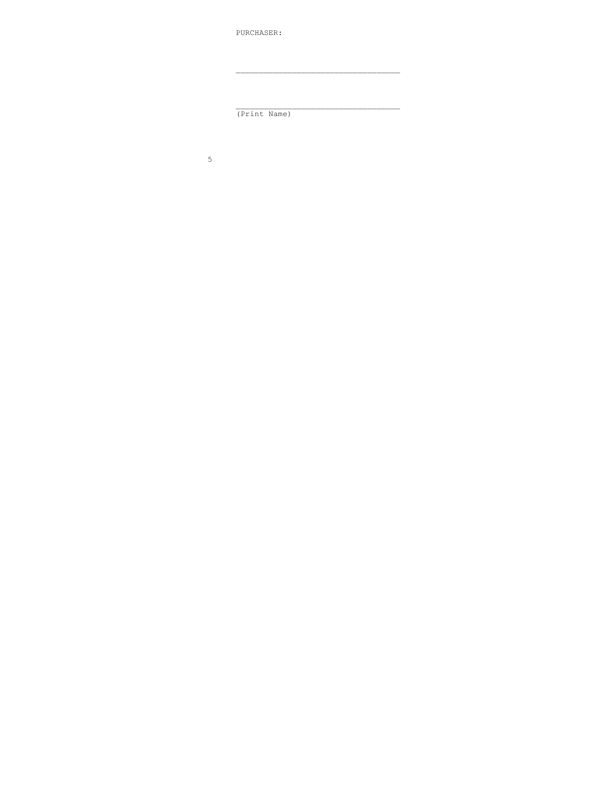PURCHASER:

 $(Tprint Name)$ 

 $5\phantom{.0}$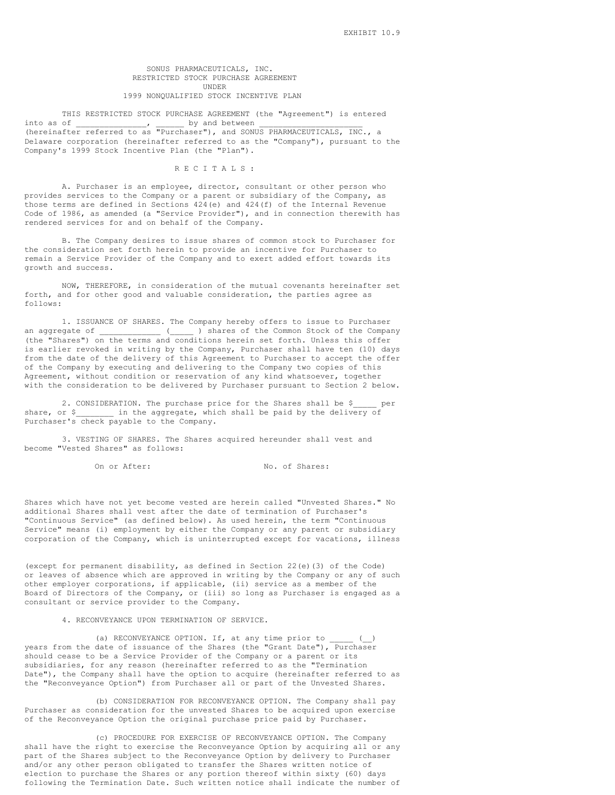## SONUS PHARMACEUTICALS, INC. RESTRICTED STOCK PURCHASE AGREEMENT UNDER 1999 NONQUALIFIED STOCK INCENTIVE PLAN

## THIS RESTRICTED STOCK PURCHASE AGREEMENT (the "Agreement") is entered of \_\_\_\_\_\_\_\_\_\_\_\_\_\_\_\_\_\_ by and between into as of \_\_\_\_\_\_\_\_\_\_\_\_\_\_\_, \_\_\_\_\_\_ by and between \_\_\_\_\_\_\_\_\_\_\_\_\_\_\_\_\_\_\_\_\_\_ (hereinafter referred to as "Purchaser"), and SONUS PHARMACEUTICALS, INC., a Delaware corporation (hereinafter referred to as the "Company"), pursuant to the Company's 1999 Stock Incentive Plan (the "Plan").

#### R E C I T A L S :

A. Purchaser is an employee, director, consultant or other person who provides services to the Company or a parent or subsidiary of the Company, as those terms are defined in Sections 424(e) and 424(f) of the Internal Revenue Code of 1986, as amended (a "Service Provider"), and in connection therewith has rendered services for and on behalf of the Company.

B. The Company desires to issue shares of common stock to Purchaser for the consideration set forth herein to provide an incentive for Purchaser to remain a Service Provider of the Company and to exert added effort towards its growth and success.

NOW, THEREFORE, in consideration of the mutual covenants hereinafter set forth, and for other good and valuable consideration, the parties agree as follows:

1. ISSUANCE OF SHARES. The Company hereby offers to issue to Purchaser an aggregate of \_\_\_\_\_\_\_\_\_\_\_\_\_ (\_\_\_\_\_ ) shares of the Common Stock of the Company (the "Shares") on the terms and conditions herein set forth. Unless this offer is earlier revoked in writing by the Company, Purchaser shall have ten (10) days from the date of the delivery of this Agreement to Purchaser to accept the offer of the Company by executing and delivering to the Company two copies of this Agreement, without condition or reservation of any kind whatsoever, together with the consideration to be delivered by Purchaser pursuant to Section 2 below.

2. CONSIDERATION. The purchase price for the Shares shall be \$ \_\_\_\_ per share, or \$ \_\_\_\_\_\_\_\_ in the aggregate, which shall be paid by the delivery of Purchaser's check payable to the Company.

3. VESTING OF SHARES. The Shares acquired hereunder shall vest and become "Vested Shares" as follows:

On or After: No. of Shares:

Shares which have not yet become vested are herein called "Unvested Shares." No additional Shares shall vest after the date of termination of Purchaser's "Continuous Service" (as defined below). As used herein, the term "Continuous Service" means (i) employment by either the Company or any parent or subsidiary corporation of the Company, which is uninterrupted except for vacations, illness

(except for permanent disability, as defined in Section 22(e)(3) of the Code) or leaves of absence which are approved in writing by the Company or any of such other employer corporations, if applicable, (ii) service as a member of the Board of Directors of the Company, or (iii) so long as Purchaser is engaged as a consultant or service provider to the Company.

4. RECONVEYANCE UPON TERMINATION OF SERVICE.

(a) RECONVEYANCE OPTION. If, at any time prior to  $\qquad \qquad ($ years from the date of issuance of the Shares (the "Grant Date"), Purchaser should cease to be a Service Provider of the Company or a parent or its subsidiaries, for any reason (hereinafter referred to as the "Termination Date"), the Company shall have the option to acquire (hereinafter referred to as the "Reconveyance Option") from Purchaser all or part of the Unvested Shares.

(b) CONSIDERATION FOR RECONVEYANCE OPTION. The Company shall pay Purchaser as consideration for the unvested Shares to be acquired upon exercise of the Reconveyance Option the original purchase price paid by Purchaser.

(c) PROCEDURE FOR EXERCISE OF RECONVEYANCE OPTION. The Company shall have the right to exercise the Reconveyance Option by acquiring all or any part of the Shares subject to the Reconveyance Option by delivery to Purchaser and/or any other person obligated to transfer the Shares written notice of election to purchase the Shares or any portion thereof within sixty (60) days following the Termination Date. Such written notice shall indicate the number of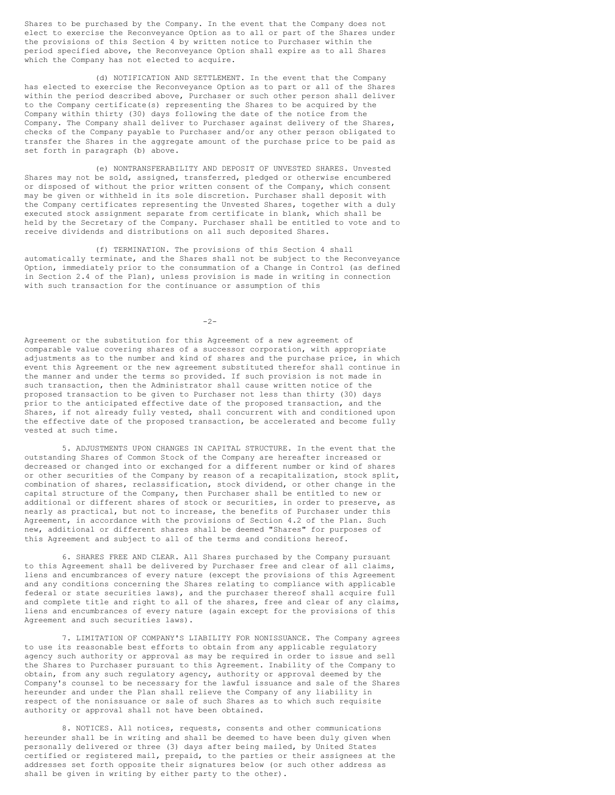Shares to be purchased by the Company. In the event that the Company does not elect to exercise the Reconveyance Option as to all or part of the Shares under the provisions of this Section 4 by written notice to Purchaser within the period specified above, the Reconveyance Option shall expire as to all Shares which the Company has not elected to acquire.

(d) NOTIFICATION AND SETTLEMENT. In the event that the Company has elected to exercise the Reconveyance Option as to part or all of the Shares within the period described above, Purchaser or such other person shall deliver to the Company certificate(s) representing the Shares to be acquired by the Company within thirty (30) days following the date of the notice from the Company. The Company shall deliver to Purchaser against delivery of the Shares, checks of the Company payable to Purchaser and/or any other person obligated to transfer the Shares in the aggregate amount of the purchase price to be paid as set forth in paragraph (b) above.

(e) NONTRANSFERABILITY AND DEPOSIT OF UNVESTED SHARES. Unvested Shares may not be sold, assigned, transferred, pledged or otherwise encumbered or disposed of without the prior written consent of the Company, which consent may be given or withheld in its sole discretion. Purchaser shall deposit with the Company certificates representing the Unvested Shares, together with a duly executed stock assignment separate from certificate in blank, which shall be held by the Secretary of the Company. Purchaser shall be entitled to vote and to receive dividends and distributions on all such deposited Shares.

(f) TERMINATION. The provisions of this Section 4 shall automatically terminate, and the Shares shall not be subject to the Reconveyance Option, immediately prior to the consummation of a Change in Control (as defined in Section 2.4 of the Plan), unless provision is made in writing in connection with such transaction for the continuance or assumption of this

 $-2-$ 

Agreement or the substitution for this Agreement of a new agreement of comparable value covering shares of a successor corporation, with appropriate adjustments as to the number and kind of shares and the purchase price, in which event this Agreement or the new agreement substituted therefor shall continue in the manner and under the terms so provided. If such provision is not made in such transaction, then the Administrator shall cause written notice of the proposed transaction to be given to Purchaser not less than thirty (30) days prior to the anticipated effective date of the proposed transaction, and the Shares, if not already fully vested, shall concurrent with and conditioned upon the effective date of the proposed transaction, be accelerated and become fully vested at such time.

5. ADJUSTMENTS UPON CHANGES IN CAPITAL STRUCTURE. In the event that the outstanding Shares of Common Stock of the Company are hereafter increased or decreased or changed into or exchanged for a different number or kind of shares or other securities of the Company by reason of a recapitalization, stock split, combination of shares, reclassification, stock dividend, or other change in the capital structure of the Company, then Purchaser shall be entitled to new or additional or different shares of stock or securities, in order to preserve, as nearly as practical, but not to increase, the benefits of Purchaser under this Agreement, in accordance with the provisions of Section 4.2 of the Plan. Such new, additional or different shares shall be deemed "Shares" for purposes of this Agreement and subject to all of the terms and conditions hereof.

6. SHARES FREE AND CLEAR. All Shares purchased by the Company pursuant to this Agreement shall be delivered by Purchaser free and clear of all claims, liens and encumbrances of every nature (except the provisions of this Agreement and any conditions concerning the Shares relating to compliance with applicable federal or state securities laws), and the purchaser thereof shall acquire full and complete title and right to all of the shares, free and clear of any claims, liens and encumbrances of every nature (again except for the provisions of this Agreement and such securities laws).

7. LIMITATION OF COMPANY'S LIABILITY FOR NONISSUANCE. The Company agrees to use its reasonable best efforts to obtain from any applicable regulatory agency such authority or approval as may be required in order to issue and sell the Shares to Purchaser pursuant to this Agreement. Inability of the Company to obtain, from any such regulatory agency, authority or approval deemed by the Company's counsel to be necessary for the lawful issuance and sale of the Shares hereunder and under the Plan shall relieve the Company of any liability in respect of the nonissuance or sale of such Shares as to which such requisite authority or approval shall not have been obtained.

8. NOTICES. All notices, requests, consents and other communications hereunder shall be in writing and shall be deemed to have been duly given when personally delivered or three (3) days after being mailed, by United States certified or registered mail, prepaid, to the parties or their assignees at the addresses set forth opposite their signatures below (or such other address as shall be given in writing by either party to the other).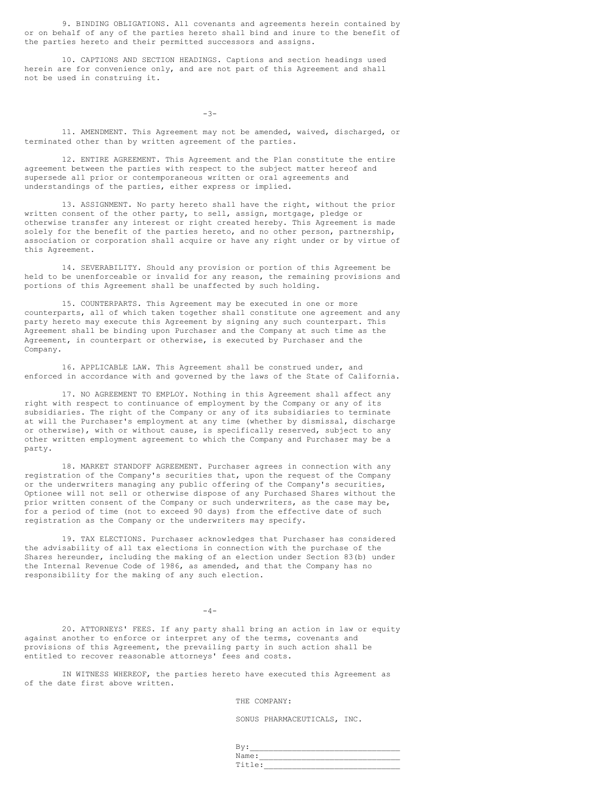9. BINDING OBLIGATIONS. All covenants and agreements herein contained by or on behalf of any of the parties hereto shall bind and inure to the benefit of the parties hereto and their permitted successors and assigns.

10. CAPTIONS AND SECTION HEADINGS. Captions and section headings used herein are for convenience only, and are not part of this Agreement and shall not be used in construing it.

-3-

11. AMENDMENT. This Agreement may not be amended, waived, discharged, or terminated other than by written agreement of the parties.

12. ENTIRE AGREEMENT. This Agreement and the Plan constitute the entire agreement between the parties with respect to the subject matter hereof and supersede all prior or contemporaneous written or oral agreements and understandings of the parties, either express or implied.

13. ASSIGNMENT. No party hereto shall have the right, without the prior written consent of the other party, to sell, assign, mortgage, pledge or otherwise transfer any interest or right created hereby. This Agreement is made solely for the benefit of the parties hereto, and no other person, partnership, association or corporation shall acquire or have any right under or by virtue of this Agreement.

14. SEVERABILITY. Should any provision or portion of this Agreement be held to be unenforceable or invalid for any reason, the remaining provisions and portions of this Agreement shall be unaffected by such holding.

15. COUNTERPARTS. This Agreement may be executed in one or more counterparts, all of which taken together shall constitute one agreement and any party hereto may execute this Agreement by signing any such counterpart. This Agreement shall be binding upon Purchaser and the Company at such time as the Agreement, in counterpart or otherwise, is executed by Purchaser and the Company.

16. APPLICABLE LAW. This Agreement shall be construed under, and enforced in accordance with and governed by the laws of the State of California.

17. NO AGREEMENT TO EMPLOY. Nothing in this Agreement shall affect any right with respect to continuance of employment by the Company or any of its subsidiaries. The right of the Company or any of its subsidiaries to terminate at will the Purchaser's employment at any time (whether by dismissal, discharge or otherwise), with or without cause, is specifically reserved, subject to any other written employment agreement to which the Company and Purchaser may be a party.

18. MARKET STANDOFF AGREEMENT. Purchaser agrees in connection with any registration of the Company's securities that, upon the request of the Company or the underwriters managing any public offering of the Company's securities, Optionee will not sell or otherwise dispose of any Purchased Shares without the prior written consent of the Company or such underwriters, as the case may be, for a period of time (not to exceed 90 days) from the effective date of such registration as the Company or the underwriters may specify.

19. TAX ELECTIONS. Purchaser acknowledges that Purchaser has considered the advisability of all tax elections in connection with the purchase of the Shares hereunder, including the making of an election under Section 83(b) under the Internal Revenue Code of 1986, as amended, and that the Company has no responsibility for the making of any such election.

 $-4-$ 

20. ATTORNEYS' FEES. If any party shall bring an action in law or equity against another to enforce or interpret any of the terms, covenants and provisions of this Agreement, the prevailing party in such action shall be entitled to recover reasonable attorneys' fees and costs.

IN WITNESS WHEREOF, the parties hereto have executed this Agreement as of the date first above written.

THE COMPANY:

SONUS PHARMACEUTICALS, INC.

| Name:  |  |
|--------|--|
| Title: |  |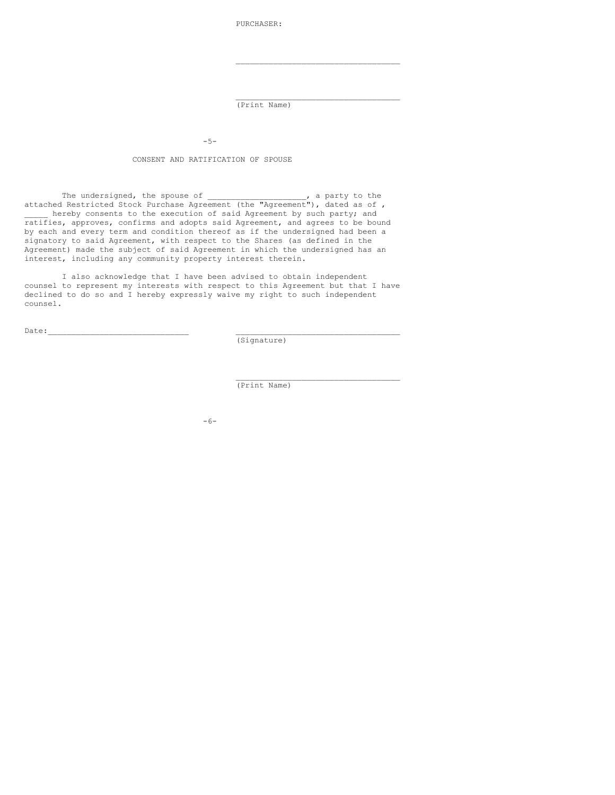PURCHASER:

(Print Name)

\_\_\_\_\_\_\_\_\_\_\_\_\_\_\_\_\_\_\_\_\_\_\_\_\_\_\_\_\_\_\_\_\_\_\_

\_\_\_\_\_\_\_\_\_\_\_\_\_\_\_\_\_\_\_\_\_\_\_\_\_\_\_\_\_\_\_\_\_\_\_

\_\_\_\_\_\_\_\_\_\_\_\_\_\_\_\_\_\_\_\_\_\_\_\_\_\_\_\_\_\_\_\_\_\_\_

-5-

CONSENT AND RATIFICATION OF SPOUSE

The undersigned, the spouse of  $\qquad \qquad$ , a party to the attached Restricted Stock Purchase Agreement (the "Agreement"), dated as of , hereby consents to the execution of said Agreement by such party; and ratifies, approves, confirms and adopts said Agreement, and agrees to be bound by each and every term and condition thereof as if the undersigned had been a signatory to said Agreement, with respect to the Shares (as defined in the Agreement) made the subject of said Agreement in which the undersigned has an interest, including any community property interest therein.

I also acknowledge that I have been advised to obtain independent counsel to represent my interests with respect to this Agreement but that I have declined to do so and I hereby expressly waive my right to such independent counsel.

```
\text{Date:}\quad
```
(Signature)

(Print Name)

-6-